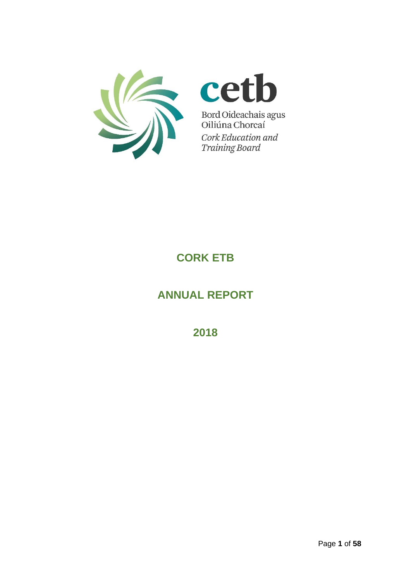



Bord Oideachais agus<br>Oiliúna Chorcaí Cork Education and **Training Board** 

# **CORK ETB**

# **ANNUAL REPORT**

**2018**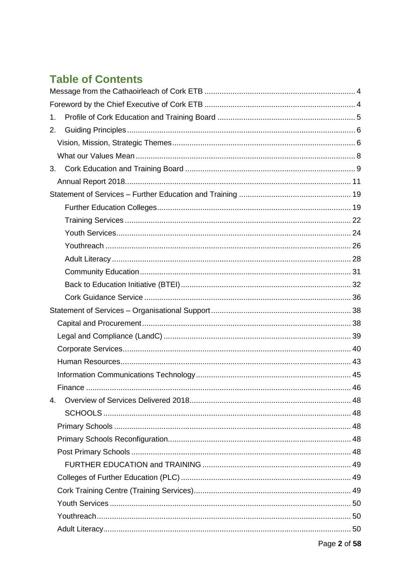# **Table of Contents**

| 1.             |  |
|----------------|--|
| 2.             |  |
|                |  |
|                |  |
|                |  |
|                |  |
|                |  |
|                |  |
|                |  |
|                |  |
|                |  |
|                |  |
|                |  |
|                |  |
|                |  |
|                |  |
|                |  |
|                |  |
|                |  |
|                |  |
|                |  |
|                |  |
| $\mathbf{4}$ . |  |
|                |  |
|                |  |
|                |  |
|                |  |
|                |  |
|                |  |
|                |  |
|                |  |
|                |  |
|                |  |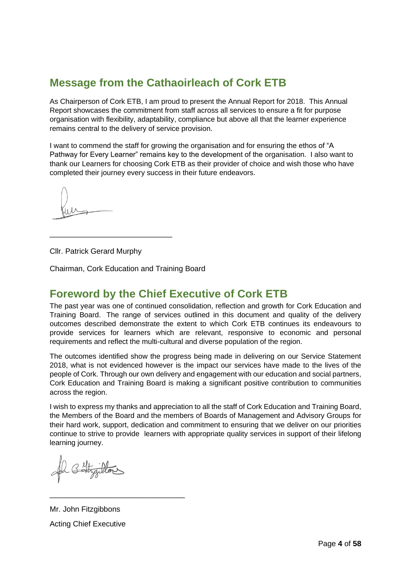# <span id="page-3-0"></span>**Message from the Cathaoirleach of Cork ETB**

As Chairperson of Cork ETB, I am proud to present the Annual Report for 2018. This Annual Report showcases the commitment from staff across all services to ensure a fit for purpose organisation with flexibility, adaptability, compliance but above all that the learner experience remains central to the delivery of service provision.

I want to commend the staff for growing the organisation and for ensuring the ethos of "A Pathway for Every Learner" remains key to the development of the organisation. I also want to thank our Learners for choosing Cork ETB as their provider of choice and wish those who have completed their journey every success in their future endeavors.

Cllr. Patrick Gerard Murphy

\_\_\_\_\_\_\_\_\_\_\_\_\_\_\_\_\_\_\_\_\_\_\_\_\_\_\_\_\_

Chairman, Cork Education and Training Board

## <span id="page-3-1"></span>**Foreword by the Chief Executive of Cork ETB**

The past year was one of continued consolidation, reflection and growth for Cork Education and Training Board. The range of services outlined in this document and quality of the delivery outcomes described demonstrate the extent to which Cork ETB continues its endeavours to provide services for learners which are relevant, responsive to economic and personal requirements and reflect the multi-cultural and diverse population of the region.

The outcomes identified show the progress being made in delivering on our Service Statement 2018, what is not evidenced however is the impact our services have made to the lives of the people of Cork. Through our own delivery and engagement with our education and social partners, Cork Education and Training Board is making a significant positive contribution to communities across the region.

I wish to express my thanks and appreciation to all the staff of Cork Education and Training Board, the Members of the Board and the members of Boards of Management and Advisory Groups for their hard work, support, dedication and commitment to ensuring that we deliver on our priorities continue to strive to provide learners with appropriate quality services in support of their lifelong learning journey.

Mr. John Fitzgibbons Acting Chief Executive

\_\_\_\_\_\_\_\_\_\_\_\_\_\_\_\_\_\_\_\_\_\_\_\_\_\_\_\_\_\_\_\_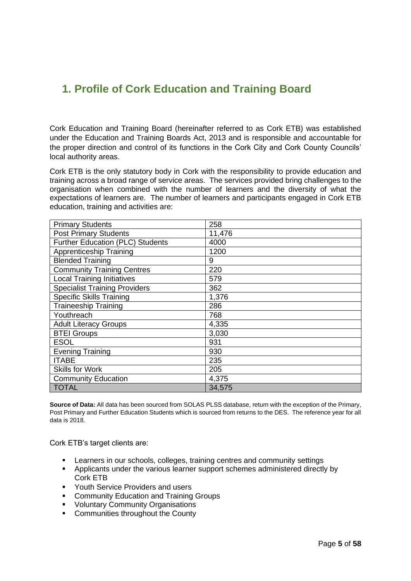## <span id="page-4-0"></span>**1. Profile of Cork Education and Training Board**

Cork Education and Training Board (hereinafter referred to as Cork ETB) was established under the Education and Training Boards Act, 2013 and is responsible and accountable for the proper direction and control of its functions in the Cork City and Cork County Councils' local authority areas.

Cork ETB is the only statutory body in Cork with the responsibility to provide education and training across a broad range of service areas. The services provided bring challenges to the organisation when combined with the number of learners and the diversity of what the expectations of learners are. The number of learners and participants engaged in Cork ETB education, training and activities are:

| <b>Primary Students</b>              | 258    |
|--------------------------------------|--------|
| <b>Post Primary Students</b>         | 11,476 |
| Further Education (PLC) Students     | 4000   |
| Apprenticeship Training              | 1200   |
| <b>Blended Training</b>              | 9      |
| <b>Community Training Centres</b>    | 220    |
| <b>Local Training Initiatives</b>    | 579    |
| <b>Specialist Training Providers</b> | 362    |
| <b>Specific Skills Training</b>      | 1,376  |
| <b>Traineeship Training</b>          | 286    |
| Youthreach                           | 768    |
| <b>Adult Literacy Groups</b>         | 4,335  |
| <b>BTEI Groups</b>                   | 3,030  |
| <b>ESOL</b>                          | 931    |
| <b>Evening Training</b>              | 930    |
| <b>ITABE</b>                         | 235    |
| <b>Skills for Work</b>               | 205    |
| <b>Community Education</b>           | 4,375  |
| <b>TOTAL</b>                         | 34,575 |

**Source of Data:** All data has been sourced from SOLAS PLSS database, return with the exception of the Primary, Post Primary and Further Education Students which is sourced from returns to the DES. The reference year for all data is 2018.

Cork ETB's target clients are:

- **EXECT** Learners in our schools, colleges, training centres and community settings
- Applicants under the various learner support schemes administered directly by Cork ETB
- Youth Service Providers and users
- Community Education and Training Groups
- Voluntary Community Organisations
- Communities throughout the County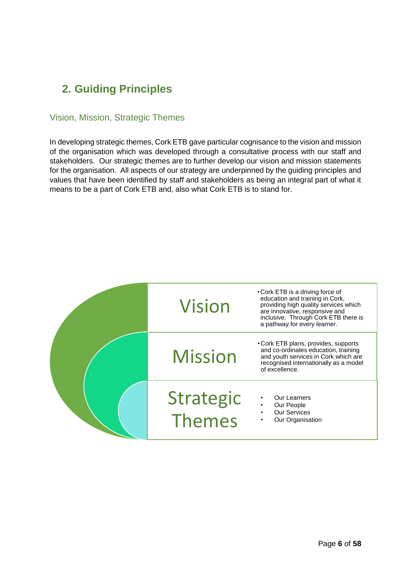# <span id="page-5-0"></span>**2. Guiding Principles**

### <span id="page-5-1"></span>Vision, Mission, Strategic Themes

In developing strategic themes, Cork ETB gave particular cognisance to the vision and mission of the organisation which was developed through a consultative process with our staff and stakeholders. Our strategic themes are to further develop our vision and mission statements for the organisation. All aspects of our strategy are underpinned by the guiding principles and values that have been identified by staff and stakeholders as being an integral part of what it means to be a part of Cork ETB and, also what Cork ETB is to stand for.

| <b>Vision</b>              | • Cork ETB is a driving force of<br>education and training in Cork,<br>providing high quality services which<br>are innovative, responsive and<br>inclusive. Through Cork ETB there is<br>a pathway for every learner. |
|----------------------------|------------------------------------------------------------------------------------------------------------------------------------------------------------------------------------------------------------------------|
| <b>Mission</b>             | • Cork ETB plans, provides, supports<br>and co-ordinates education, training<br>and youth services in Cork which are<br>recognised internationally as a model<br>of excellence.                                        |
| <b>Strategic</b><br>Themes | Our Learners<br>Our People<br><b>Our Services</b><br>Our Organisation                                                                                                                                                  |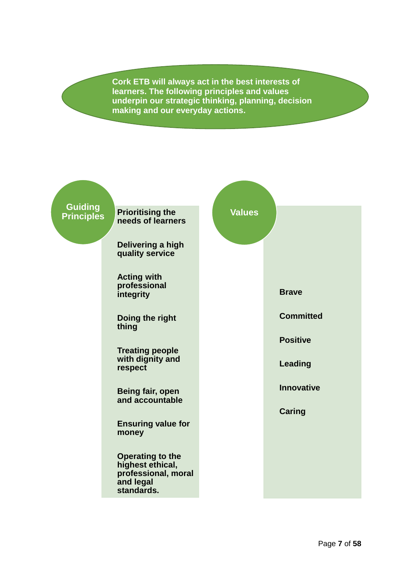**Cork ETB will always act in the best interests of learners. The following principles and values underpin our strategic thinking, planning, decision making and our everyday actions.**

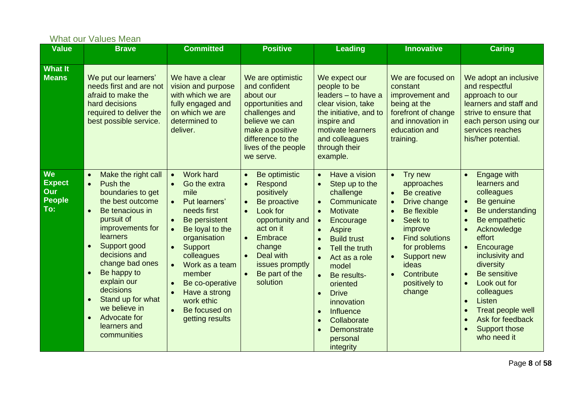<span id="page-7-0"></span>

|                                                           | <b>What our Values Mean</b>                                                                                                                                                                                                                                                                                                                                                                                                     |                                                                                                                                                                                                                                                                                                                                   |                                                                                                                                                                                                                                                                                  |                                                                                                                                                                                                                                                                                                                                                                                                                                                                                      |                                                                                                                                                                                                                                                                                                             |                                                                                                                                                                                                                                                                                                                                                          |
|-----------------------------------------------------------|---------------------------------------------------------------------------------------------------------------------------------------------------------------------------------------------------------------------------------------------------------------------------------------------------------------------------------------------------------------------------------------------------------------------------------|-----------------------------------------------------------------------------------------------------------------------------------------------------------------------------------------------------------------------------------------------------------------------------------------------------------------------------------|----------------------------------------------------------------------------------------------------------------------------------------------------------------------------------------------------------------------------------------------------------------------------------|--------------------------------------------------------------------------------------------------------------------------------------------------------------------------------------------------------------------------------------------------------------------------------------------------------------------------------------------------------------------------------------------------------------------------------------------------------------------------------------|-------------------------------------------------------------------------------------------------------------------------------------------------------------------------------------------------------------------------------------------------------------------------------------------------------------|----------------------------------------------------------------------------------------------------------------------------------------------------------------------------------------------------------------------------------------------------------------------------------------------------------------------------------------------------------|
| <b>Value</b>                                              | <b>Brave</b>                                                                                                                                                                                                                                                                                                                                                                                                                    | <b>Committed</b>                                                                                                                                                                                                                                                                                                                  | <b>Positive</b>                                                                                                                                                                                                                                                                  | <b>Leading</b>                                                                                                                                                                                                                                                                                                                                                                                                                                                                       | <b>Innovative</b>                                                                                                                                                                                                                                                                                           | <b>Caring</b>                                                                                                                                                                                                                                                                                                                                            |
| <b>What It</b><br><b>Means</b>                            | We put our learners'<br>needs first and are not<br>afraid to make the<br>hard decisions<br>required to deliver the<br>best possible service.                                                                                                                                                                                                                                                                                    | We have a clear<br>vision and purpose<br>with which we are<br>fully engaged and<br>on which we are<br>determined to<br>deliver.                                                                                                                                                                                                   | We are optimistic<br>and confident<br>about our<br>opportunities and<br>challenges and<br>believe we can<br>make a positive<br>difference to the<br>lives of the people<br>we serve.                                                                                             | We expect our<br>people to be<br>leaders - to have a<br>clear vision, take<br>the initiative, and to<br>inspire and<br>motivate learners<br>and colleagues<br>through their<br>example.                                                                                                                                                                                                                                                                                              | We are focused on<br>constant<br>improvement and<br>being at the<br>forefront of change<br>and innovation in<br>education and<br>training.                                                                                                                                                                  | We adopt an inclusive<br>and respectful<br>approach to our<br>learners and staff and<br>strive to ensure that<br>each person using our<br>services reaches<br>his/her potential.                                                                                                                                                                         |
| <b>We</b><br><b>Expect</b><br>Our<br><b>People</b><br>To: | Make the right call<br>$\bullet$<br>Push the<br>$\bullet$<br>boundaries to get<br>the best outcome<br>Be tenacious in<br>$\bullet$<br>pursuit of<br>improvements for<br><b>learners</b><br>Support good<br>$\bullet$<br>decisions and<br>change bad ones<br>Be happy to<br>$\bullet$<br>explain our<br>decisions<br>Stand up for what<br>$\bullet$<br>we believe in<br>Advocate for<br>$\bullet$<br>learners and<br>communities | Work hard<br>$\bullet$<br>Go the extra<br>$\bullet$<br>mile<br>Put learners'<br>needs first<br>Be persistent<br>Be loyal to the<br>$\bullet$<br>organisation<br>Support<br>$\bullet$<br>colleagues<br>Work as a team<br>$\bullet$<br>member<br>Be co-operative<br>Have a strong<br>work ethic<br>Be focused on<br>getting results | Be optimistic<br>$\bullet$<br>Respond<br>$\bullet$<br>positively<br>Be proactive<br>$\bullet$<br>Look for<br>$\bullet$<br>opportunity and<br>act on it<br>Embrace<br>$\bullet$<br>change<br>Deal with<br>$\bullet$<br>issues promptly<br>Be part of the<br>$\bullet$<br>solution | Have a vision<br>$\bullet$<br>Step up to the<br>$\bullet$<br>challenge<br>Communicate<br>$\bullet$<br><b>Motivate</b><br>$\bullet$<br>Encourage<br>$\bullet$<br><b>Aspire</b><br>$\bullet$<br><b>Build trust</b><br>$\bullet$<br>Tell the truth<br>$\bullet$<br>Act as a role<br>$\bullet$<br>model<br>Be results-<br>oriented<br><b>Drive</b><br>$\bullet$<br>innovation<br>Influence<br>$\bullet$<br>Collaborate<br>$\bullet$<br>Demonstrate<br>$\bullet$<br>personal<br>integrity | Try new<br>$\bullet$<br>approaches<br>Be creative<br>$\bullet$<br>Drive change<br>$\bullet$<br>Be flexible<br>$\bullet$<br>Seek to<br>$\bullet$<br>improve<br><b>Find solutions</b><br>$\bullet$<br>for problems<br>Support new<br>$\bullet$<br>ideas<br>Contribute<br>$\bullet$<br>positively to<br>change | <b>Engage with</b><br>$\bullet$<br>learners and<br>colleagues<br>Be genuine<br>Be understanding<br>Be empathetic<br>Acknowledge<br>effort<br>Encourage<br>$\bullet$<br>inclusivity and<br>diversity<br>Be sensitive<br>$\bullet$<br>Look out for<br>colleagues<br>Listen<br>Treat people well<br>Ask for feedback<br><b>Support those</b><br>who need it |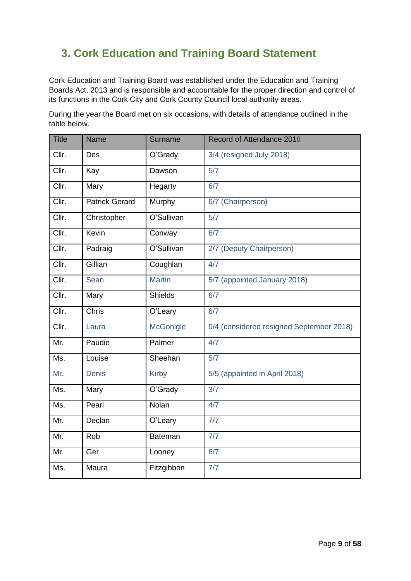# <span id="page-8-0"></span>**3. Cork Education and Training Board Statement**

Cork Education and Training Board was established under the Education and Training Boards Act, 2013 and is responsible and accountable for the proper direction and control of its functions in the Cork City and Cork County Council local authority areas.

During the year the Board met on six occasions, with details of attendance outlined in the table below.

| <b>Title</b>              | <b>Name</b>           | Surname          | Record of Attendance 2018                |
|---------------------------|-----------------------|------------------|------------------------------------------|
| Cllr.                     | Des                   | O'Grady          | 3/4 (resigned July 2018)                 |
| Cllr.                     | Kay                   | Dawson           | 5/7                                      |
| Clir.                     | Mary                  | Hegarty          | 6/7                                      |
| Cllr.                     | <b>Patrick Gerard</b> | Murphy           | 6/7 (Chairperson)                        |
| Cllr.                     | Christopher           | O'Sullivan       | 5/7                                      |
| $\overline{\text{Clir.}}$ | Kevin                 | Conway           | 6/7                                      |
| Cllr.                     | Padraig               | O'Sullivan       | 2/7 (Deputy Chairperson)                 |
| ClIr.                     | Gillian               | Coughlan         | 4/7                                      |
| Cllr.                     | Sean                  | <b>Martin</b>    | 5/7 (appointed January 2018)             |
| ClIr.                     | Mary                  | <b>Shields</b>   | 6/7                                      |
| Clir.                     | Chris                 | O'Leary          | 6/7                                      |
| Cllr.                     | Laura                 | <b>McGonigle</b> | 0/4 (considered resigned September 2018) |
| Mr.                       | Paudie                | Palmer           | 4/7                                      |
| Ms.                       | Louise                | Sheehan          | 5/7                                      |
| Mr.                       | <b>Denis</b>          | <b>Kirby</b>     | 5/5 (appointed in April 2018)            |
| Ms.                       | Mary                  | O'Grady          | 3/7                                      |
| Ms.                       | Pearl                 | Nolan            | 4/7                                      |
| Mr.                       | Declan                | O'Leary          | 7/7                                      |
| Mr.                       | Rob                   | <b>Bateman</b>   | 7/7                                      |
| Mr.                       | Ger                   | Looney           | 6/7                                      |
| Ms.                       | Maura                 | Fitzgibbon       | 7/7                                      |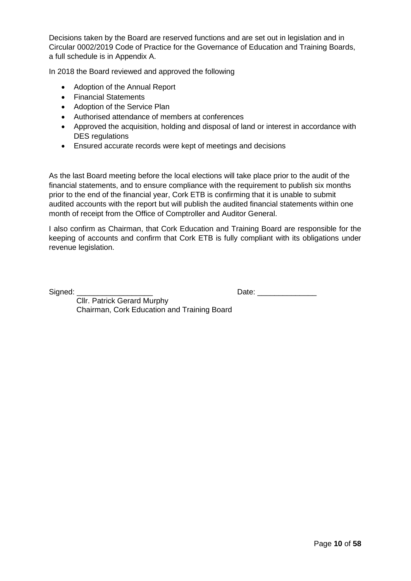Decisions taken by the Board are reserved functions and are set out in legislation and in Circular 0002/2019 Code of Practice for the Governance of Education and Training Boards, a full schedule is in Appendix A.

In 2018 the Board reviewed and approved the following

- Adoption of the Annual Report
- Financial Statements
- Adoption of the Service Plan
- Authorised attendance of members at conferences
- Approved the acquisition, holding and disposal of land or interest in accordance with DES regulations
- Ensured accurate records were kept of meetings and decisions

As the last Board meeting before the local elections will take place prior to the audit of the financial statements, and to ensure compliance with the requirement to publish six months prior to the end of the financial year, Cork ETB is confirming that it is unable to submit audited accounts with the report but will publish the audited financial statements within one month of receipt from the Office of Comptroller and Auditor General.

I also confirm as Chairman, that Cork Education and Training Board are responsible for the keeping of accounts and confirm that Cork ETB is fully compliant with its obligations under revenue legislation.

Signed: \_\_\_\_\_\_\_\_\_\_\_\_\_\_\_\_\_\_ Date: \_\_\_\_\_\_\_\_\_\_\_\_\_\_

 Cllr. Patrick Gerard Murphy Chairman, Cork Education and Training Board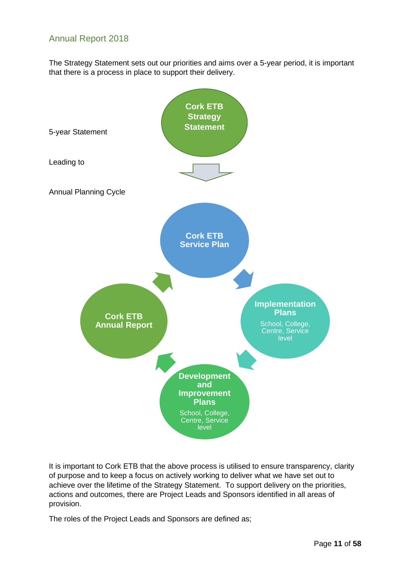### <span id="page-10-0"></span>Annual Report 2018

The Strategy Statement sets out our priorities and aims over a 5-year period, it is important that there is a process in place to support their delivery.



It is important to Cork ETB that the above process is utilised to ensure transparency, clarity of purpose and to keep a focus on actively working to deliver what we have set out to achieve over the lifetime of the Strategy Statement. To support delivery on the priorities, actions and outcomes, there are Project Leads and Sponsors identified in all areas of provision.

The roles of the Project Leads and Sponsors are defined as;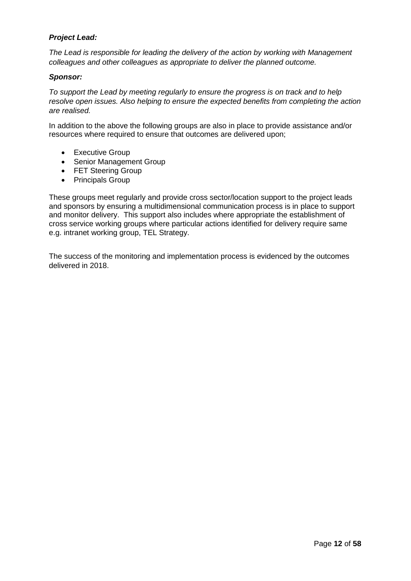#### *Project Lead:*

*The Lead is responsible for leading the delivery of the action by working with Management colleagues and other colleagues as appropriate to deliver the planned outcome.* 

#### *Sponsor:*

*To support the Lead by meeting regularly to ensure the progress is on track and to help resolve open issues. Also helping to ensure the expected benefits from completing the action are realised.*

In addition to the above the following groups are also in place to provide assistance and/or resources where required to ensure that outcomes are delivered upon;

- Executive Group
- Senior Management Group
- FET Steering Group
- Principals Group

These groups meet regularly and provide cross sector/location support to the project leads and sponsors by ensuring a multidimensional communication process is in place to support and monitor delivery. This support also includes where appropriate the establishment of cross service working groups where particular actions identified for delivery require same e.g. intranet working group, TEL Strategy.

The success of the monitoring and implementation process is evidenced by the outcomes delivered in 2018.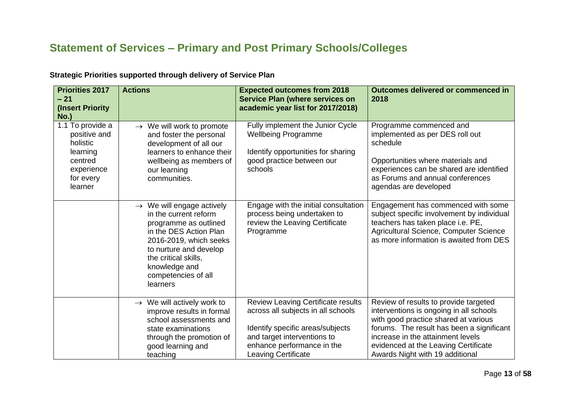# **Statement of Services – Primary and Post Primary Schools/Colleges**

| <b>Priorities 2017</b><br>$-21$<br>(Insert Priority)<br>$No.$ )                                           | <b>Actions</b>                                                                                                                                                                                                                                    | <b>Expected outcomes from 2018</b><br><b>Service Plan (where services on</b><br>academic year list for 2017/2018)                                                                                              | Outcomes delivered or commenced in<br>2018                                                                                                                                                                                                                                            |
|-----------------------------------------------------------------------------------------------------------|---------------------------------------------------------------------------------------------------------------------------------------------------------------------------------------------------------------------------------------------------|----------------------------------------------------------------------------------------------------------------------------------------------------------------------------------------------------------------|---------------------------------------------------------------------------------------------------------------------------------------------------------------------------------------------------------------------------------------------------------------------------------------|
| 1.1 To provide a<br>positive and<br>holistic<br>learning<br>centred<br>experience<br>for every<br>learner | $\rightarrow$ We will work to promote<br>and foster the personal<br>development of all our<br>learners to enhance their<br>wellbeing as members of<br>our learning<br>communities.                                                                | Fully implement the Junior Cycle<br><b>Wellbeing Programme</b><br>Identify opportunities for sharing<br>good practice between our<br>schools                                                                   | Programme commenced and<br>implemented as per DES roll out<br>schedule<br>Opportunities where materials and<br>experiences can be shared are identified<br>as Forums and annual conferences<br>agendas are developed                                                                  |
|                                                                                                           | $\rightarrow$ We will engage actively<br>in the current reform<br>programme as outlined<br>in the DES Action Plan<br>2016-2019, which seeks<br>to nurture and develop<br>the critical skills,<br>knowledge and<br>competencies of all<br>learners | Engage with the initial consultation<br>process being undertaken to<br>review the Leaving Certificate<br>Programme                                                                                             | Engagement has commenced with some<br>subject specific involvement by individual<br>teachers has taken place i.e. PE,<br>Agricultural Science, Computer Science<br>as more information is awaited from DES                                                                            |
|                                                                                                           | $\rightarrow$ We will actively work to<br>improve results in formal<br>school assessments and<br>state examinations<br>through the promotion of<br>good learning and<br>teaching                                                                  | <b>Review Leaving Certificate results</b><br>across all subjects in all schools<br>Identify specific areas/subjects<br>and target interventions to<br>enhance performance in the<br><b>Leaving Certificate</b> | Review of results to provide targeted<br>interventions is ongoing in all schools<br>with good practice shared at various<br>forums. The result has been a significant<br>increase in the attainment levels<br>evidenced at the Leaving Certificate<br>Awards Night with 19 additional |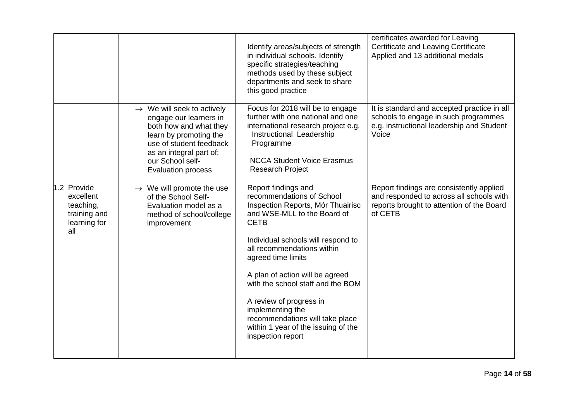|                                                                              |                                                                                                                                                                                                                             | Identify areas/subjects of strength<br>in individual schools. Identify<br>specific strategies/teaching<br>methods used by these subject<br>departments and seek to share<br>this good practice                                                                                                                                                                                                                                                      | certificates awarded for Leaving<br>Certificate and Leaving Certificate<br>Applied and 13 additional medals                                  |
|------------------------------------------------------------------------------|-----------------------------------------------------------------------------------------------------------------------------------------------------------------------------------------------------------------------------|-----------------------------------------------------------------------------------------------------------------------------------------------------------------------------------------------------------------------------------------------------------------------------------------------------------------------------------------------------------------------------------------------------------------------------------------------------|----------------------------------------------------------------------------------------------------------------------------------------------|
|                                                                              | $\rightarrow$ We will seek to actively<br>engage our learners in<br>both how and what they<br>learn by promoting the<br>use of student feedback<br>as an integral part of;<br>our School self-<br><b>Evaluation process</b> | Focus for 2018 will be to engage<br>further with one national and one<br>international research project e.g.<br>Instructional Leadership<br>Programme<br><b>NCCA Student Voice Erasmus</b><br><b>Research Project</b>                                                                                                                                                                                                                               | It is standard and accepted practice in all<br>schools to engage in such programmes<br>e.g. instructional leadership and Student<br>Voice    |
| 1.2 Provide<br>excellent<br>teaching,<br>training and<br>learning for<br>all | $\rightarrow$ We will promote the use<br>of the School Self-<br>Evaluation model as a<br>method of school/college<br>improvement                                                                                            | Report findings and<br>recommendations of School<br>Inspection Reports, Mór Thuairisc<br>and WSE-MLL to the Board of<br><b>CETB</b><br>Individual schools will respond to<br>all recommendations within<br>agreed time limits<br>A plan of action will be agreed<br>with the school staff and the BOM<br>A review of progress in<br>implementing the<br>recommendations will take place<br>within 1 year of the issuing of the<br>inspection report | Report findings are consistently applied<br>and responded to across all schools with<br>reports brought to attention of the Board<br>of CETB |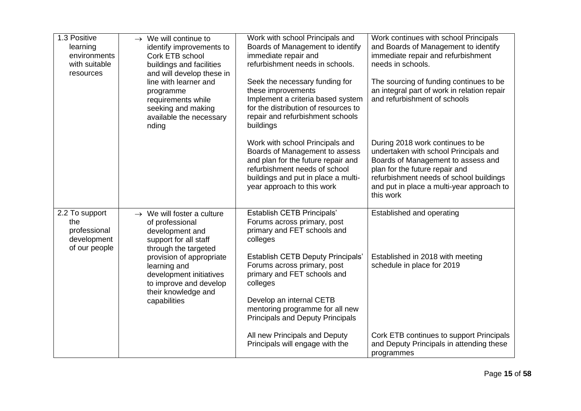| 1.3 Positive<br>learning<br>environments<br>with suitable<br>resources | $\rightarrow$ We will continue to<br>identify improvements to<br>Cork ETB school<br>buildings and facilities<br>and will develop these in<br>line with learner and<br>programme<br>requirements while<br>seeking and making<br>available the necessary<br>nding       | Work with school Principals and<br>Boards of Management to identify<br>immediate repair and<br>refurbishment needs in schools.<br>Seek the necessary funding for<br>these improvements<br>Implement a criteria based system<br>for the distribution of resources to<br>repair and refurbishment schools<br>buildings                 | Work continues with school Principals<br>and Boards of Management to identify<br>immediate repair and refurbishment<br>needs in schools.<br>The sourcing of funding continues to be<br>an integral part of work in relation repair<br>and refurbishment of schools |
|------------------------------------------------------------------------|-----------------------------------------------------------------------------------------------------------------------------------------------------------------------------------------------------------------------------------------------------------------------|--------------------------------------------------------------------------------------------------------------------------------------------------------------------------------------------------------------------------------------------------------------------------------------------------------------------------------------|--------------------------------------------------------------------------------------------------------------------------------------------------------------------------------------------------------------------------------------------------------------------|
|                                                                        |                                                                                                                                                                                                                                                                       | Work with school Principals and<br>Boards of Management to assess<br>and plan for the future repair and<br>refurbishment needs of school<br>buildings and put in place a multi-<br>year approach to this work                                                                                                                        | During 2018 work continues to be<br>undertaken with school Principals and<br>Boards of Management to assess and<br>plan for the future repair and<br>refurbishment needs of school buildings<br>and put in place a multi-year approach to<br>this work             |
| 2.2 To support<br>the<br>professional<br>development<br>of our people  | $\rightarrow$ We will foster a culture<br>of professional<br>development and<br>support for all staff<br>through the targeted<br>provision of appropriate<br>learning and<br>development initiatives<br>to improve and develop<br>their knowledge and<br>capabilities | Establish CETB Principals'<br>Forums across primary, post<br>primary and FET schools and<br>colleges<br><b>Establish CETB Deputy Principals'</b><br>Forums across primary, post<br>primary and FET schools and<br>colleges<br>Develop an internal CETB<br>mentoring programme for all new<br><b>Principals and Deputy Principals</b> | Established and operating<br>Established in 2018 with meeting<br>schedule in place for 2019                                                                                                                                                                        |
|                                                                        |                                                                                                                                                                                                                                                                       | All new Principals and Deputy<br>Principals will engage with the                                                                                                                                                                                                                                                                     | Cork ETB continues to support Principals<br>and Deputy Principals in attending these<br>programmes                                                                                                                                                                 |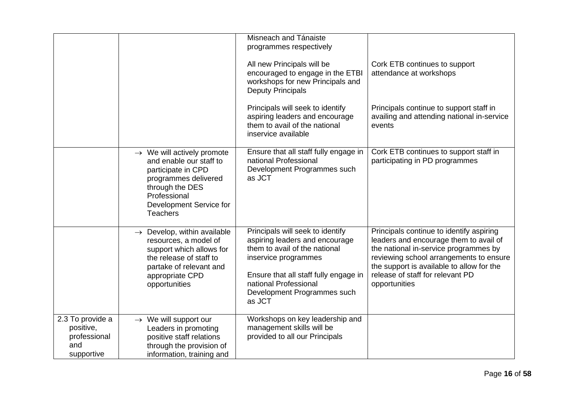|                                                                    |                                                                                                                                                                                                  | Misneach and Tánaiste<br>programmes respectively<br>All new Principals will be<br>encouraged to engage in the ETBI<br>workshops for new Principals and<br><b>Deputy Principals</b><br>Principals will seek to identify<br>aspiring leaders and encourage<br>them to avail of the national<br>inservice available | Cork ETB continues to support<br>attendance at workshops<br>Principals continue to support staff in<br>availing and attending national in-service<br>events                                                                                                              |
|--------------------------------------------------------------------|--------------------------------------------------------------------------------------------------------------------------------------------------------------------------------------------------|------------------------------------------------------------------------------------------------------------------------------------------------------------------------------------------------------------------------------------------------------------------------------------------------------------------|--------------------------------------------------------------------------------------------------------------------------------------------------------------------------------------------------------------------------------------------------------------------------|
|                                                                    | $\rightarrow$ We will actively promote<br>and enable our staff to<br>participate in CPD<br>programmes delivered<br>through the DES<br>Professional<br>Development Service for<br><b>Teachers</b> | Ensure that all staff fully engage in<br>national Professional<br>Development Programmes such<br>as JCT                                                                                                                                                                                                          | Cork ETB continues to support staff in<br>participating in PD programmes                                                                                                                                                                                                 |
|                                                                    | $\rightarrow$ Develop, within available<br>resources, a model of<br>support which allows for<br>the release of staff to<br>partake of relevant and<br>appropriate CPD<br>opportunities           | Principals will seek to identify<br>aspiring leaders and encourage<br>them to avail of the national<br>inservice programmes<br>Ensure that all staff fully engage in<br>national Professional<br>Development Programmes such<br>as JCT                                                                           | Principals continue to identify aspiring<br>leaders and encourage them to avail of<br>the national in-service programmes by<br>reviewing school arrangements to ensure<br>the support is available to allow for the<br>release of staff for relevant PD<br>opportunities |
| 2.3 To provide a<br>positive,<br>professional<br>and<br>supportive | $\rightarrow$ We will support our<br>Leaders in promoting<br>positive staff relations<br>through the provision of<br>information, training and                                                   | Workshops on key leadership and<br>management skills will be<br>provided to all our Principals                                                                                                                                                                                                                   |                                                                                                                                                                                                                                                                          |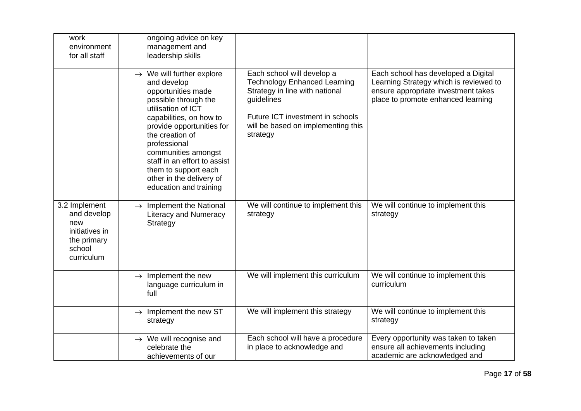| work<br>environment<br>for all staff                                                         | ongoing advice on key<br>management and<br>leadership skills                                                                                                                                                                                                                                                                                             |                                                                                                                                                                                                         |                                                                                                                                                            |
|----------------------------------------------------------------------------------------------|----------------------------------------------------------------------------------------------------------------------------------------------------------------------------------------------------------------------------------------------------------------------------------------------------------------------------------------------------------|---------------------------------------------------------------------------------------------------------------------------------------------------------------------------------------------------------|------------------------------------------------------------------------------------------------------------------------------------------------------------|
|                                                                                              | $\rightarrow$ We will further explore<br>and develop<br>opportunities made<br>possible through the<br>utilisation of ICT<br>capabilities, on how to<br>provide opportunities for<br>the creation of<br>professional<br>communities amongst<br>staff in an effort to assist<br>them to support each<br>other in the delivery of<br>education and training | Each school will develop a<br><b>Technology Enhanced Learning</b><br>Strategy in line with national<br>guidelines<br>Future ICT investment in schools<br>will be based on implementing this<br>strategy | Each school has developed a Digital<br>Learning Strategy which is reviewed to<br>ensure appropriate investment takes<br>place to promote enhanced learning |
| 3.2 Implement<br>and develop<br>new<br>initiatives in<br>the primary<br>school<br>curriculum | $\rightarrow$ Implement the National<br><b>Literacy and Numeracy</b><br>Strategy                                                                                                                                                                                                                                                                         | We will continue to implement this<br>strategy                                                                                                                                                          | We will continue to implement this<br>strategy                                                                                                             |
|                                                                                              | $\rightarrow$ Implement the new<br>language curriculum in<br>full                                                                                                                                                                                                                                                                                        | We will implement this curriculum                                                                                                                                                                       | We will continue to implement this<br>curriculum                                                                                                           |
|                                                                                              | $\rightarrow$ Implement the new ST<br>strategy                                                                                                                                                                                                                                                                                                           | We will implement this strategy                                                                                                                                                                         | We will continue to implement this<br>strategy                                                                                                             |
|                                                                                              | $\rightarrow$ We will recognise and<br>celebrate the<br>achievements of our                                                                                                                                                                                                                                                                              | Each school will have a procedure<br>in place to acknowledge and                                                                                                                                        | Every opportunity was taken to taken<br>ensure all achievements including<br>academic are acknowledged and                                                 |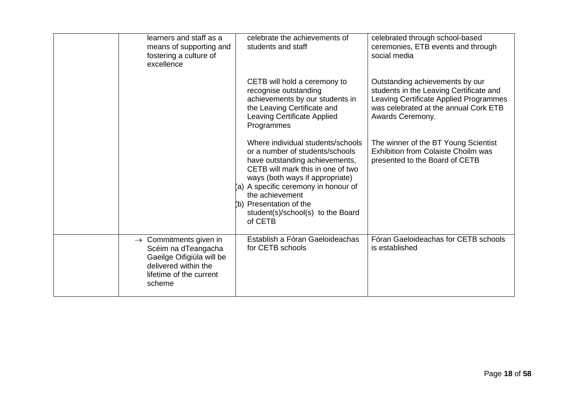| learners and staff as a<br>means of supporting and<br>fostering a culture of<br>excellence                                                          | celebrate the achievements of<br>students and staff                                                                                                                                                                                                                                                                  | celebrated through school-based<br>ceremonies, ETB events and through<br>social media                                                                                             |
|-----------------------------------------------------------------------------------------------------------------------------------------------------|----------------------------------------------------------------------------------------------------------------------------------------------------------------------------------------------------------------------------------------------------------------------------------------------------------------------|-----------------------------------------------------------------------------------------------------------------------------------------------------------------------------------|
|                                                                                                                                                     | CETB will hold a ceremony to<br>recognise outstanding<br>achievements by our students in<br>the Leaving Certificate and<br>Leaving Certificate Applied<br>Programmes                                                                                                                                                 | Outstanding achievements by our<br>students in the Leaving Certificate and<br>Leaving Certificate Applied Programmes<br>was celebrated at the annual Cork ETB<br>Awards Ceremony. |
|                                                                                                                                                     | Where individual students/schools<br>or a number of students/schools<br>have outstanding achievements,<br>CETB will mark this in one of two<br>ways (both ways if appropriate)<br>(a) A specific ceremony in honour of<br>the achievement<br>(b) Presentation of the<br>student(s)/school(s) to the Board<br>of CETB | The winner of the BT Young Scientist<br><b>Exhibition from Colaiste Choilm was</b><br>presented to the Board of CETB                                                              |
| $\rightarrow$ Commitments given in<br>Scéim na dTeangacha<br>Gaeilge Oifigiúla will be<br>delivered within the<br>lifetime of the current<br>scheme | Establish a Fóran Gaeloideachas<br>for CETB schools                                                                                                                                                                                                                                                                  | Fóran Gaeloideachas for CETB schools<br>is established                                                                                                                            |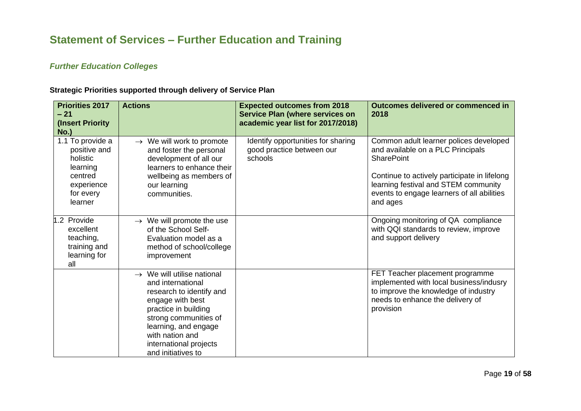## **Statement of Services – Further Education and Training**

### *Further Education Colleges*

<span id="page-18-1"></span><span id="page-18-0"></span>

| <b>Priorities 2017</b><br>$-21$<br>(Insert Priority)<br>$No.$ )                                           | <b>Actions</b>                                                                                                                                                                                                                                          | <b>Expected outcomes from 2018</b><br><b>Service Plan (where services on</b><br>academic year list for 2017/2018) | Outcomes delivered or commenced in<br>2018                                                                                                                                                                                                         |
|-----------------------------------------------------------------------------------------------------------|---------------------------------------------------------------------------------------------------------------------------------------------------------------------------------------------------------------------------------------------------------|-------------------------------------------------------------------------------------------------------------------|----------------------------------------------------------------------------------------------------------------------------------------------------------------------------------------------------------------------------------------------------|
| 1.1 To provide a<br>positive and<br>holistic<br>learning<br>centred<br>experience<br>for every<br>learner | $\rightarrow$ We will work to promote<br>and foster the personal<br>development of all our<br>learners to enhance their<br>wellbeing as members of<br>our learning<br>communities.                                                                      | Identify opportunities for sharing<br>good practice between our<br>schools                                        | Common adult learner polices developed<br>and available on a PLC Principals<br><b>SharePoint</b><br>Continue to actively participate in lifelong<br>learning festival and STEM community<br>events to engage learners of all abilities<br>and ages |
| 1.2 Provide<br>excellent<br>teaching,<br>training and<br>learning for<br>all                              | $\rightarrow$ We will promote the use<br>of the School Self-<br>Evaluation model as a<br>method of school/college<br>improvement                                                                                                                        |                                                                                                                   | Ongoing monitoring of QA compliance<br>with QQI standards to review, improve<br>and support delivery                                                                                                                                               |
|                                                                                                           | $\rightarrow$ We will utilise national<br>and international<br>research to identify and<br>engage with best<br>practice in building<br>strong communities of<br>learning, and engage<br>with nation and<br>international projects<br>and initiatives to |                                                                                                                   | FET Teacher placement programme<br>implemented with local business/indusry<br>to improve the knowledge of industry<br>needs to enhance the delivery of<br>provision                                                                                |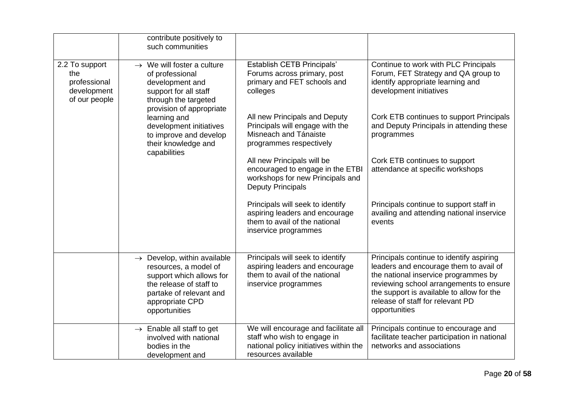|                                                                       | contribute positively to<br>such communities                                                                                                                                           |                                                                                                                                      |                                                                                                                                                                                                                                                                         |
|-----------------------------------------------------------------------|----------------------------------------------------------------------------------------------------------------------------------------------------------------------------------------|--------------------------------------------------------------------------------------------------------------------------------------|-------------------------------------------------------------------------------------------------------------------------------------------------------------------------------------------------------------------------------------------------------------------------|
| 2.2 To support<br>the<br>professional<br>development<br>of our people | $\rightarrow$ We will foster a culture<br>of professional<br>development and<br>support for all staff<br>through the targeted<br>provision of appropriate                              | <b>Establish CETB Principals'</b><br>Forums across primary, post<br>primary and FET schools and<br>colleges                          | Continue to work with PLC Principals<br>Forum, FET Strategy and QA group to<br>identify appropriate learning and<br>development initiatives                                                                                                                             |
|                                                                       | learning and<br>development initiatives<br>to improve and develop<br>their knowledge and<br>capabilities                                                                               | All new Principals and Deputy<br>Principals will engage with the<br>Misneach and Tánaiste<br>programmes respectively                 | Cork ETB continues to support Principals<br>and Deputy Principals in attending these<br>programmes                                                                                                                                                                      |
|                                                                       |                                                                                                                                                                                        | All new Principals will be<br>encouraged to engage in the ETBI<br>workshops for new Principals and<br><b>Deputy Principals</b>       | Cork ETB continues to support<br>attendance at specific workshops                                                                                                                                                                                                       |
|                                                                       |                                                                                                                                                                                        | Principals will seek to identify<br>aspiring leaders and encourage<br>them to avail of the national<br>inservice programmes          | Principals continue to support staff in<br>availing and attending national inservice<br>events                                                                                                                                                                          |
|                                                                       | $\rightarrow$ Develop, within available<br>resources, a model of<br>support which allows for<br>the release of staff to<br>partake of relevant and<br>appropriate CPD<br>opportunities | Principals will seek to identify<br>aspiring leaders and encourage<br>them to avail of the national<br>inservice programmes          | Principals continue to identify aspiring<br>leaders and encourage them to avail of<br>the national inservice programmes by<br>reviewing school arrangements to ensure<br>the support is available to allow for the<br>release of staff for relevant PD<br>opportunities |
|                                                                       | $\rightarrow$ Enable all staff to get<br>involved with national<br>bodies in the<br>development and                                                                                    | We will encourage and facilitate all<br>staff who wish to engage in<br>national policy initiatives within the<br>resources available | Principals continue to encourage and<br>facilitate teacher participation in national<br>networks and associations                                                                                                                                                       |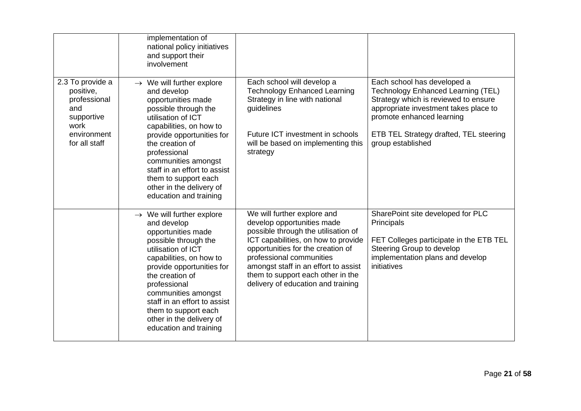|                                                                            | implementation of<br>national policy initiatives<br>and support their<br>involvement                                                                                                                                                                                                                                                                     |                                                                                                                                                                                                                                                                                                                             |                                                                                                                                                                                 |
|----------------------------------------------------------------------------|----------------------------------------------------------------------------------------------------------------------------------------------------------------------------------------------------------------------------------------------------------------------------------------------------------------------------------------------------------|-----------------------------------------------------------------------------------------------------------------------------------------------------------------------------------------------------------------------------------------------------------------------------------------------------------------------------|---------------------------------------------------------------------------------------------------------------------------------------------------------------------------------|
| 2.3 To provide a<br>positive,<br>professional<br>and<br>supportive<br>work | $\rightarrow$ We will further explore<br>and develop<br>opportunities made<br>possible through the<br>utilisation of ICT<br>capabilities, on how to                                                                                                                                                                                                      | Each school will develop a<br><b>Technology Enhanced Learning</b><br>Strategy in line with national<br>guidelines                                                                                                                                                                                                           | Each school has developed a<br>Technology Enhanced Learning (TEL)<br>Strategy which is reviewed to ensure<br>appropriate investment takes place to<br>promote enhanced learning |
| environment<br>for all staff                                               | provide opportunities for<br>the creation of<br>professional<br>communities amongst<br>staff in an effort to assist<br>them to support each<br>other in the delivery of<br>education and training                                                                                                                                                        | Future ICT investment in schools<br>will be based on implementing this<br>strategy                                                                                                                                                                                                                                          | ETB TEL Strategy drafted, TEL steering<br>group established                                                                                                                     |
|                                                                            | $\rightarrow$ We will further explore<br>and develop<br>opportunities made<br>possible through the<br>utilisation of ICT<br>capabilities, on how to<br>provide opportunities for<br>the creation of<br>professional<br>communities amongst<br>staff in an effort to assist<br>them to support each<br>other in the delivery of<br>education and training | We will further explore and<br>develop opportunities made<br>possible through the utilisation of<br>ICT capabilities, on how to provide<br>opportunities for the creation of<br>professional communities<br>amongst staff in an effort to assist<br>them to support each other in the<br>delivery of education and training | SharePoint site developed for PLC<br>Principals<br>FET Colleges participate in the ETB TEL<br>Steering Group to develop<br>implementation plans and develop<br>initiatives      |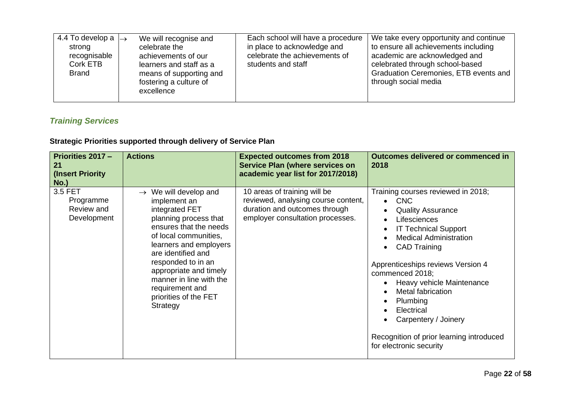| 4.4 To develop a $\rightarrow$<br>strong<br>recognisable<br>Cork ETB<br><b>Brand</b> | We will recognise and<br>celebrate the<br>achievements of our<br>learners and staff as a<br>means of supporting and<br>fostering a culture of<br>excellence | Each school will have a procedure<br>in place to acknowledge and<br>celebrate the achievements of<br>students and staff | We take every opportunity and continue<br>to ensure all achievements including<br>academic are acknowledged and<br>celebrated through school-based<br>Graduation Ceremonies, ETB events and<br>through social media |
|--------------------------------------------------------------------------------------|-------------------------------------------------------------------------------------------------------------------------------------------------------------|-------------------------------------------------------------------------------------------------------------------------|---------------------------------------------------------------------------------------------------------------------------------------------------------------------------------------------------------------------|
|--------------------------------------------------------------------------------------|-------------------------------------------------------------------------------------------------------------------------------------------------------------|-------------------------------------------------------------------------------------------------------------------------|---------------------------------------------------------------------------------------------------------------------------------------------------------------------------------------------------------------------|

## *Training Services*

<span id="page-21-0"></span>

| <b>Priorities 2017 -</b><br>21<br>(Insert Priority)          | <b>Actions</b>                                                                                                                                                                                                                                                                                                                        | <b>Expected outcomes from 2018</b><br><b>Service Plan (where services on</b><br>academic year list for 2017/2018)                        | Outcomes delivered or commenced in<br>2018                                                                                                                                                                                                                                                                                                                                                                                |
|--------------------------------------------------------------|---------------------------------------------------------------------------------------------------------------------------------------------------------------------------------------------------------------------------------------------------------------------------------------------------------------------------------------|------------------------------------------------------------------------------------------------------------------------------------------|---------------------------------------------------------------------------------------------------------------------------------------------------------------------------------------------------------------------------------------------------------------------------------------------------------------------------------------------------------------------------------------------------------------------------|
| $No.$ )<br>3.5 FET<br>Programme<br>Review and<br>Development | We will develop and<br>$\rightarrow$<br>implement an<br>integrated FET<br>planning process that<br>ensures that the needs<br>of local communities,<br>learners and employers<br>are identified and<br>responded to in an<br>appropriate and timely<br>manner in line with the<br>requirement and<br>priorities of the FET<br>Strategy | 10 areas of training will be<br>reviewed, analysing course content,<br>duration and outcomes through<br>employer consultation processes. | Training courses reviewed in 2018;<br>$\bullet$ CNC<br><b>Quality Assurance</b><br>Lifesciences<br><b>IT Technical Support</b><br><b>Medical Administration</b><br><b>CAD Training</b><br>Apprenticeships reviews Version 4<br>commenced 2018;<br>Heavy vehicle Maintenance<br>Metal fabrication<br>Plumbing<br>Electrical<br>Carpentery / Joinery<br>Recognition of prior learning introduced<br>for electronic security |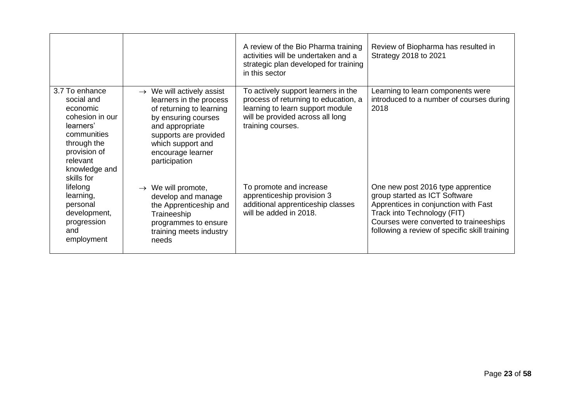<span id="page-22-0"></span>

|                                                                                                                                                                   |                                                                                                                                                                                                                            | A review of the Bio Pharma training<br>activities will be undertaken and a<br>strategic plan developed for training<br>in this sector                                    | Review of Biopharma has resulted in<br><b>Strategy 2018 to 2021</b>                                                                                                                                                                  |
|-------------------------------------------------------------------------------------------------------------------------------------------------------------------|----------------------------------------------------------------------------------------------------------------------------------------------------------------------------------------------------------------------------|--------------------------------------------------------------------------------------------------------------------------------------------------------------------------|--------------------------------------------------------------------------------------------------------------------------------------------------------------------------------------------------------------------------------------|
| 3.7 To enhance<br>social and<br>economic<br>cohesion in our<br>learners'<br>communities<br>through the<br>provision of<br>relevant<br>knowledge and<br>skills for | $\rightarrow$ We will actively assist<br>learners in the process<br>of returning to learning<br>by ensuring courses<br>and appropriate<br>supports are provided<br>which support and<br>encourage learner<br>participation | To actively support learners in the<br>process of returning to education, a<br>learning to learn support module<br>will be provided across all long<br>training courses. | Learning to learn components were<br>introduced to a number of courses during<br>2018                                                                                                                                                |
| lifelong<br>learning,<br>personal<br>development,<br>progression<br>and<br>employment                                                                             | $\rightarrow$ We will promote,<br>develop and manage<br>the Apprenticeship and<br>Traineeship<br>programmes to ensure<br>training meets industry<br>needs                                                                  | To promote and increase<br>apprenticeship provision 3<br>additional apprenticeship classes<br>will be added in 2018.                                                     | One new post 2016 type apprentice<br>group started as ICT Software<br>Apprentices in conjunction with Fast<br>Track into Technology (FIT)<br>Courses were converted to traineeships<br>following a review of specific skill training |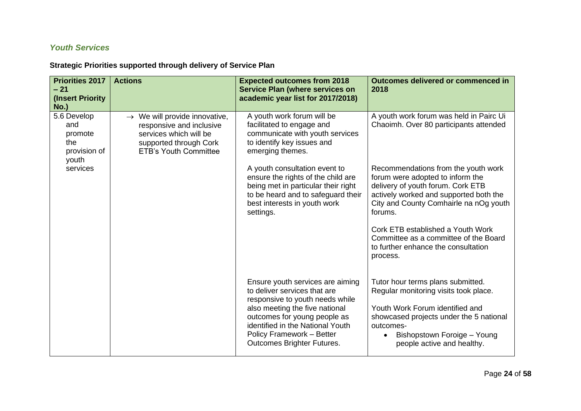### *Youth Services*

| <b>Priorities 2017</b><br>$-21$<br>(Insert Priority<br><b>No.)</b> | <b>Actions</b>                                                                                                                                            | <b>Expected outcomes from 2018</b><br><b>Service Plan (where services on</b><br>academic year list for 2017/2018)                                                                                                                                                    | <b>Outcomes delivered or commenced in</b><br>2018                                                                                                                                                                                               |
|--------------------------------------------------------------------|-----------------------------------------------------------------------------------------------------------------------------------------------------------|----------------------------------------------------------------------------------------------------------------------------------------------------------------------------------------------------------------------------------------------------------------------|-------------------------------------------------------------------------------------------------------------------------------------------------------------------------------------------------------------------------------------------------|
| 5.6 Develop<br>and<br>promote<br>the<br>provision of<br>youth      | $\rightarrow$ We will provide innovative,<br>responsive and inclusive<br>services which will be<br>supported through Cork<br><b>ETB's Youth Committee</b> | A youth work forum will be<br>facilitated to engage and<br>communicate with youth services<br>to identify key issues and<br>emerging themes.                                                                                                                         | A youth work forum was held in Pairc Ui<br>Chaoimh. Over 80 participants attended                                                                                                                                                               |
| services                                                           |                                                                                                                                                           | A youth consultation event to<br>ensure the rights of the child are<br>being met in particular their right<br>to be heard and to safeguard their<br>best interests in youth work<br>settings.                                                                        | Recommendations from the youth work<br>forum were adopted to inform the<br>delivery of youth forum. Cork ETB<br>actively worked and supported both the<br>City and County Comhairle na nOg youth<br>forums.                                     |
|                                                                    |                                                                                                                                                           |                                                                                                                                                                                                                                                                      | Cork ETB established a Youth Work<br>Committee as a committee of the Board<br>to further enhance the consultation<br>process.                                                                                                                   |
|                                                                    |                                                                                                                                                           | Ensure youth services are aiming<br>to deliver services that are<br>responsive to youth needs while<br>also meeting the five national<br>outcomes for young people as<br>identified in the National Youth<br>Policy Framework - Better<br>Outcomes Brighter Futures. | Tutor hour terms plans submitted.<br>Regular monitoring visits took place.<br>Youth Work Forum identified and<br>showcased projects under the 5 national<br>outcomes-<br>Bishopstown Foroige - Young<br>$\bullet$<br>people active and healthy. |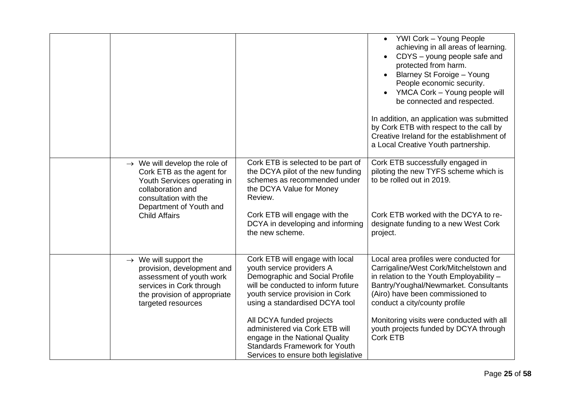|                                                                                                                                                                                |                                                                                                                                                                                                           | • YWI Cork - Young People<br>achieving in all areas of learning.<br>CDYS - young people safe and<br>protected from harm.<br>Blarney St Foroige - Young<br>People economic security.<br>YMCA Cork - Young people will<br>be connected and respected.<br>In addition, an application was submitted<br>by Cork ETB with respect to the call by<br>Creative Ireland for the establishment of |
|--------------------------------------------------------------------------------------------------------------------------------------------------------------------------------|-----------------------------------------------------------------------------------------------------------------------------------------------------------------------------------------------------------|------------------------------------------------------------------------------------------------------------------------------------------------------------------------------------------------------------------------------------------------------------------------------------------------------------------------------------------------------------------------------------------|
|                                                                                                                                                                                |                                                                                                                                                                                                           | a Local Creative Youth partnership.                                                                                                                                                                                                                                                                                                                                                      |
| $\rightarrow$ We will develop the role of<br>Cork ETB as the agent for<br>Youth Services operating in<br>collaboration and<br>consultation with the<br>Department of Youth and | Cork ETB is selected to be part of<br>the DCYA pilot of the new funding<br>schemes as recommended under<br>the DCYA Value for Money<br>Review.                                                            | Cork ETB successfully engaged in<br>piloting the new TYFS scheme which is<br>to be rolled out in 2019.                                                                                                                                                                                                                                                                                   |
| <b>Child Affairs</b>                                                                                                                                                           | Cork ETB will engage with the<br>DCYA in developing and informing<br>the new scheme.                                                                                                                      | Cork ETB worked with the DCYA to re-<br>designate funding to a new West Cork<br>project.                                                                                                                                                                                                                                                                                                 |
| $\rightarrow$ We will support the<br>provision, development and<br>assessment of youth work<br>services in Cork through<br>the provision of appropriate<br>targeted resources  | Cork ETB will engage with local<br>youth service providers A<br>Demographic and Social Profile<br>will be conducted to inform future<br>youth service provision in Cork<br>using a standardised DCYA tool | Local area profiles were conducted for<br>Carrigaline/West Cork/Mitchelstown and<br>in relation to the Youth Employability -<br>Bantry/Youghal/Newmarket. Consultants<br>(Airo) have been commissioned to<br>conduct a city/county profile                                                                                                                                               |
|                                                                                                                                                                                | All DCYA funded projects<br>administered via Cork ETB will<br>engage in the National Quality<br><b>Standards Framework for Youth</b><br>Services to ensure both legislative                               | Monitoring visits were conducted with all<br>youth projects funded by DCYA through<br><b>Cork ETB</b>                                                                                                                                                                                                                                                                                    |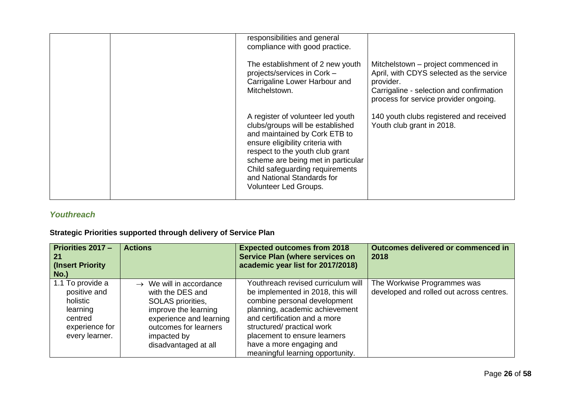|  | responsibilities and general<br>compliance with good practice.                                                                                                                                                                                                                                                |                                                                                                                                                                                   |
|--|---------------------------------------------------------------------------------------------------------------------------------------------------------------------------------------------------------------------------------------------------------------------------------------------------------------|-----------------------------------------------------------------------------------------------------------------------------------------------------------------------------------|
|  | The establishment of 2 new youth<br>projects/services in Cork -<br>Carrigaline Lower Harbour and<br>Mitchelstown.                                                                                                                                                                                             | Mitchelstown – project commenced in<br>April, with CDYS selected as the service<br>provider.<br>Carrigaline - selection and confirmation<br>process for service provider ongoing. |
|  | A register of volunteer led youth<br>clubs/groups will be established<br>and maintained by Cork ETB to<br>ensure eligibility criteria with<br>respect to the youth club grant<br>scheme are being met in particular<br>Child safeguarding requirements<br>and National Standards for<br>Volunteer Led Groups. | 140 youth clubs registered and received<br>Youth club grant in 2018.                                                                                                              |

### *Youthreach*

<span id="page-25-0"></span>

| Priorities 2017 -<br>∣ 21<br>(Insert Priority)<br>No.)                                                  | <b>Actions</b>                                                                                                                                                                                  | <b>Expected outcomes from 2018</b><br><b>Service Plan (where services on</b><br>academic year list for 2017/2018)                                                                                                                                                                                       | Outcomes delivered or commenced in<br>2018                              |
|---------------------------------------------------------------------------------------------------------|-------------------------------------------------------------------------------------------------------------------------------------------------------------------------------------------------|---------------------------------------------------------------------------------------------------------------------------------------------------------------------------------------------------------------------------------------------------------------------------------------------------------|-------------------------------------------------------------------------|
| 1.1 To provide a<br>positive and<br>holistic<br>learning<br>centred<br>experience for<br>every learner. | $\rightarrow$ We will in accordance<br>with the DES and<br>SOLAS priorities,<br>improve the learning<br>experience and learning<br>outcomes for learners<br>impacted by<br>disadvantaged at all | Youthreach revised curriculum will<br>be implemented in 2018, this will<br>combine personal development<br>planning, academic achievement<br>and certification and a more<br>structured/ practical work<br>placement to ensure learners<br>have a more engaging and<br>meaningful learning opportunity. | The Workwise Programmes was<br>developed and rolled out across centres. |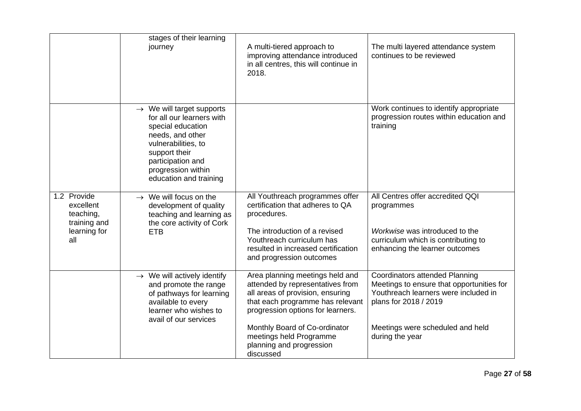|                                                                              | stages of their learning<br>journey                                                                                                                                                                                      | A multi-tiered approach to<br>improving attendance introduced<br>in all centres, this will continue in<br>2018.                                                                                                                                                                       | The multi layered attendance system<br>continues to be reviewed                                                                                                                                            |
|------------------------------------------------------------------------------|--------------------------------------------------------------------------------------------------------------------------------------------------------------------------------------------------------------------------|---------------------------------------------------------------------------------------------------------------------------------------------------------------------------------------------------------------------------------------------------------------------------------------|------------------------------------------------------------------------------------------------------------------------------------------------------------------------------------------------------------|
|                                                                              | $\rightarrow$ We will target supports<br>for all our learners with<br>special education<br>needs, and other<br>vulnerabilities, to<br>support their<br>participation and<br>progression within<br>education and training |                                                                                                                                                                                                                                                                                       | Work continues to identify appropriate<br>progression routes within education and<br>training                                                                                                              |
| 1.2 Provide<br>excellent<br>teaching,<br>training and<br>learning for<br>all | $\rightarrow$ We will focus on the<br>development of quality<br>teaching and learning as<br>the core activity of Cork<br><b>ETB</b>                                                                                      | All Youthreach programmes offer<br>certification that adheres to QA<br>procedures.<br>The introduction of a revised<br>Youthreach curriculum has<br>resulted in increased certification<br>and progression outcomes                                                                   | All Centres offer accredited QQI<br>programmes<br>Workwise was introduced to the<br>curriculum which is contributing to<br>enhancing the learner outcomes                                                  |
|                                                                              | $\rightarrow$ We will actively identify<br>and promote the range<br>of pathways for learning<br>available to every<br>learner who wishes to<br>avail of our services                                                     | Area planning meetings held and<br>attended by representatives from<br>all areas of provision, ensuring<br>that each programme has relevant<br>progression options for learners.<br>Monthly Board of Co-ordinator<br>meetings held Programme<br>planning and progression<br>discussed | <b>Coordinators attended Planning</b><br>Meetings to ensure that opportunities for<br>Youthreach learners were included in<br>plans for 2018 / 2019<br>Meetings were scheduled and held<br>during the year |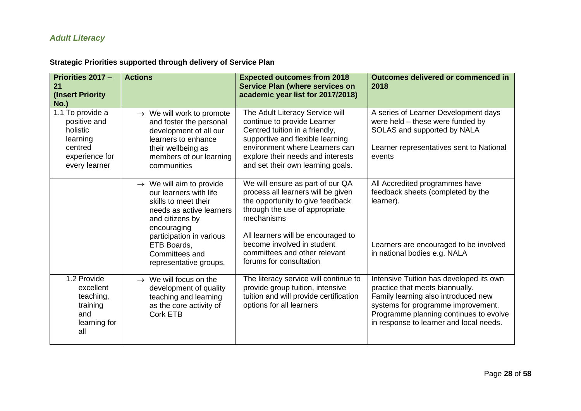## *Adult Literacy*

| Strategic Priorities supported through delivery of Service Plan |
|-----------------------------------------------------------------|
|-----------------------------------------------------------------|

<span id="page-27-0"></span>

| Priorities 2017 -<br>21<br>(Insert Priority<br>$No.$ )                                                 | <b>Actions</b>                                                                                                                                                                                                    | <b>Expected outcomes from 2018</b><br><b>Service Plan (where services on</b><br>academic year list for 2017/2018)                                                                                                                                               | Outcomes delivered or commenced in<br>2018                                                                                                                                                                                                   |
|--------------------------------------------------------------------------------------------------------|-------------------------------------------------------------------------------------------------------------------------------------------------------------------------------------------------------------------|-----------------------------------------------------------------------------------------------------------------------------------------------------------------------------------------------------------------------------------------------------------------|----------------------------------------------------------------------------------------------------------------------------------------------------------------------------------------------------------------------------------------------|
| 1.1 To provide a<br>positive and<br>holistic<br>learning<br>centred<br>experience for<br>every learner | $\rightarrow$ We will work to promote<br>and foster the personal<br>development of all our<br>learners to enhance<br>their wellbeing as<br>members of our learning<br>communities                                 | The Adult Literacy Service will<br>continue to provide Learner<br>Centred tuition in a friendly,<br>supportive and flexible learning<br>environment where Learners can<br>explore their needs and interests<br>and set their own learning goals.                | A series of Learner Development days<br>were held - these were funded by<br>SOLAS and supported by NALA<br>Learner representatives sent to National<br>events                                                                                |
|                                                                                                        | $\rightarrow$ We will aim to provide<br>our learners with life<br>skills to meet their<br>needs as active learners<br>and citizens by<br>encouraging<br>participation in various<br>ETB Boards,<br>Committees and | We will ensure as part of our QA<br>process all learners will be given<br>the opportunity to give feedback<br>through the use of appropriate<br>mechanisms<br>All learners will be encouraged to<br>become involved in student<br>committees and other relevant | All Accredited programmes have<br>feedback sheets (completed by the<br>learner).<br>Learners are encouraged to be involved<br>in national bodies e.g. NALA                                                                                   |
| 1.2 Provide<br>excellent<br>teaching,<br>training<br>and<br>learning for<br>all                        | representative groups.<br>$\rightarrow$ We will focus on the<br>development of quality<br>teaching and learning<br>as the core activity of<br><b>Cork ETB</b>                                                     | forums for consultation<br>The literacy service will continue to<br>provide group tuition, intensive<br>tuition and will provide certification<br>options for all learners                                                                                      | Intensive Tuition has developed its own<br>practice that meets biannually.<br>Family learning also introduced new<br>systems for programme improvement.<br>Programme planning continues to evolve<br>in response to learner and local needs. |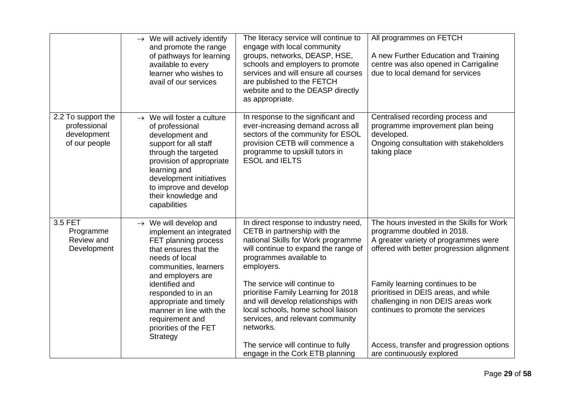|                                                                    | $\rightarrow$ We will actively identify<br>and promote the range<br>of pathways for learning<br>available to every<br>learner who wishes to<br>avail of our services                                                                                                  | The literacy service will continue to<br>engage with local community<br>groups, networks, DEASP, HSE,<br>schools and employers to promote<br>services and will ensure all courses<br>are published to the FETCH<br>website and to the DEASP directly<br>as appropriate. | All programmes on FETCH<br>A new Further Education and Training<br>centre was also opened in Carrigaline<br>due to local demand for services                 |
|--------------------------------------------------------------------|-----------------------------------------------------------------------------------------------------------------------------------------------------------------------------------------------------------------------------------------------------------------------|-------------------------------------------------------------------------------------------------------------------------------------------------------------------------------------------------------------------------------------------------------------------------|--------------------------------------------------------------------------------------------------------------------------------------------------------------|
| 2.2 To support the<br>professional<br>development<br>of our people | $\rightarrow$ We will foster a culture<br>of professional<br>development and<br>support for all staff<br>through the targeted<br>provision of appropriate<br>learning and<br>development initiatives<br>to improve and develop<br>their knowledge and<br>capabilities | In response to the significant and<br>ever-increasing demand across all<br>sectors of the community for ESOL<br>provision CETB will commence a<br>programme to upskill tutors in<br><b>ESOL and IELTS</b>                                                               | Centralised recording process and<br>programme improvement plan being<br>developed.<br>Ongoing consultation with stakeholders<br>taking place                |
| 3.5 FET<br>Programme<br>Review and<br>Development                  | $\rightarrow$ We will develop and<br>implement an integrated<br>FET planning process<br>that ensures that the<br>needs of local<br>communities, learners<br>and employers are                                                                                         | In direct response to industry need,<br>CETB in partnership with the<br>national Skills for Work programme<br>will continue to expand the range of<br>programmes available to<br>employers.                                                                             | The hours invested in the Skills for Work<br>programme doubled in 2018.<br>A greater variety of programmes were<br>offered with better progression alignment |
|                                                                    | identified and<br>responded to in an<br>appropriate and timely<br>manner in line with the<br>requirement and<br>priorities of the FET<br>Strategy                                                                                                                     | The service will continue to<br>prioritise Family Learning for 2018<br>and will develop relationships with<br>local schools, home school liaison<br>services, and relevant community<br>networks.                                                                       | Family learning continues to be<br>prioritised in DEIS areas, and while<br>challenging in non DEIS areas work<br>continues to promote the services           |
|                                                                    |                                                                                                                                                                                                                                                                       | The service will continue to fully<br>engage in the Cork ETB planning                                                                                                                                                                                                   | Access, transfer and progression options<br>are continuously explored                                                                                        |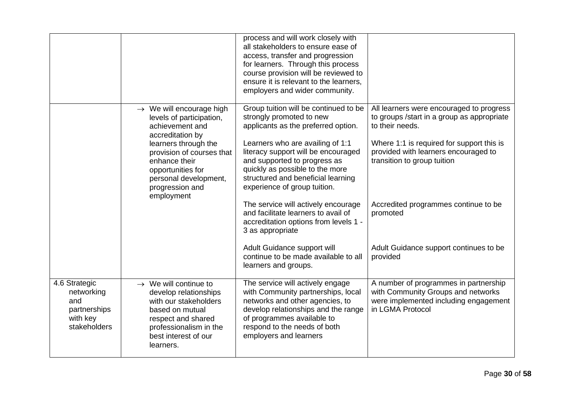|                                                                                |                                                                                                                                                                                                                                                              | process and will work closely with<br>all stakeholders to ensure ease of<br>access, transfer and progression<br>for learners. Through this process<br>course provision will be reviewed to<br>ensure it is relevant to the learners,<br>employers and wider community.                                                       |                                                                                                                                                                                                                               |
|--------------------------------------------------------------------------------|--------------------------------------------------------------------------------------------------------------------------------------------------------------------------------------------------------------------------------------------------------------|------------------------------------------------------------------------------------------------------------------------------------------------------------------------------------------------------------------------------------------------------------------------------------------------------------------------------|-------------------------------------------------------------------------------------------------------------------------------------------------------------------------------------------------------------------------------|
|                                                                                | $\rightarrow$ We will encourage high<br>levels of participation,<br>achievement and<br>accreditation by<br>learners through the<br>provision of courses that<br>enhance their<br>opportunities for<br>personal development,<br>progression and<br>employment | Group tuition will be continued to be<br>strongly promoted to new<br>applicants as the preferred option.<br>Learners who are availing of 1:1<br>literacy support will be encouraged<br>and supported to progress as<br>quickly as possible to the more<br>structured and beneficial learning<br>experience of group tuition. | All learners were encouraged to progress<br>to groups /start in a group as appropriate<br>to their needs.<br>Where 1:1 is required for support this is<br>provided with learners encouraged to<br>transition to group tuition |
|                                                                                |                                                                                                                                                                                                                                                              | The service will actively encourage<br>and facilitate learners to avail of<br>accreditation options from levels 1 -<br>3 as appropriate                                                                                                                                                                                      | Accredited programmes continue to be<br>promoted                                                                                                                                                                              |
|                                                                                |                                                                                                                                                                                                                                                              | Adult Guidance support will<br>continue to be made available to all<br>learners and groups.                                                                                                                                                                                                                                  | Adult Guidance support continues to be<br>provided                                                                                                                                                                            |
| 4.6 Strategic<br>networking<br>and<br>partnerships<br>with key<br>stakeholders | $\rightarrow$ We will continue to<br>develop relationships<br>with our stakeholders<br>based on mutual<br>respect and shared<br>professionalism in the<br>best interest of our<br>learners.                                                                  | The service will actively engage<br>with Community partnerships, local<br>networks and other agencies, to<br>develop relationships and the range<br>of programmes available to<br>respond to the needs of both<br>employers and learners                                                                                     | A number of programmes in partnership<br>with Community Groups and networks<br>were implemented including engagement<br>in LGMA Protocol                                                                                      |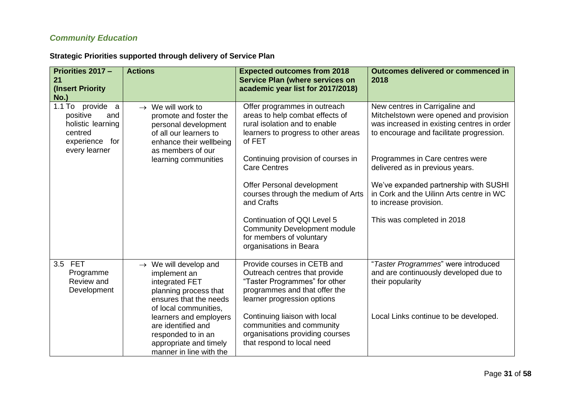### *Community Education*

<span id="page-30-0"></span>

| Priorities 2017 -<br>21<br>(Insert Priority<br><b>No.)</b>                                 | <b>Actions</b>                                                                                                                                  | <b>Expected outcomes from 2018</b><br><b>Service Plan (where services on</b><br>academic year list for 2017/2018)                                             | Outcomes delivered or commenced in<br>2018                                                                                                                         |
|--------------------------------------------------------------------------------------------|-------------------------------------------------------------------------------------------------------------------------------------------------|---------------------------------------------------------------------------------------------------------------------------------------------------------------|--------------------------------------------------------------------------------------------------------------------------------------------------------------------|
| $1.1$ To<br>provide a<br>positive<br>and<br>holistic learning<br>centred<br>experience for | $\rightarrow$ We will work to<br>promote and foster the<br>personal development<br>of all our learners to<br>enhance their wellbeing            | Offer programmes in outreach<br>areas to help combat effects of<br>rural isolation and to enable<br>learners to progress to other areas<br>of FET             | New centres in Carrigaline and<br>Mitchelstown were opened and provision<br>was increased in existing centres in order<br>to encourage and facilitate progression. |
| every learner                                                                              | as members of our<br>learning communities                                                                                                       | Continuing provision of courses in<br><b>Care Centres</b>                                                                                                     | Programmes in Care centres were<br>delivered as in previous years.                                                                                                 |
|                                                                                            |                                                                                                                                                 | Offer Personal development<br>courses through the medium of Arts<br>and Crafts                                                                                | We've expanded partnership with SUSHI<br>in Cork and the Uilinn Arts centre in WC<br>to increase provision.                                                        |
|                                                                                            |                                                                                                                                                 | Continuation of QQI Level 5<br><b>Community Development module</b><br>for members of voluntary<br>organisations in Beara                                      | This was completed in 2018                                                                                                                                         |
| 3.5 FET<br>Programme<br>Review and<br>Development                                          | $\rightarrow$ We will develop and<br>implement an<br>integrated FET<br>planning process that<br>ensures that the needs<br>of local communities, | Provide courses in CETB and<br>Outreach centres that provide<br>"Taster Programmes" for other<br>programmes and that offer the<br>learner progression options | "Taster Programmes" were introduced<br>and are continuously developed due to<br>their popularity                                                                   |
|                                                                                            | learners and employers<br>are identified and<br>responded to in an<br>appropriate and timely<br>manner in line with the                         | Continuing liaison with local<br>communities and community<br>organisations providing courses<br>that respond to local need                                   | Local Links continue to be developed.                                                                                                                              |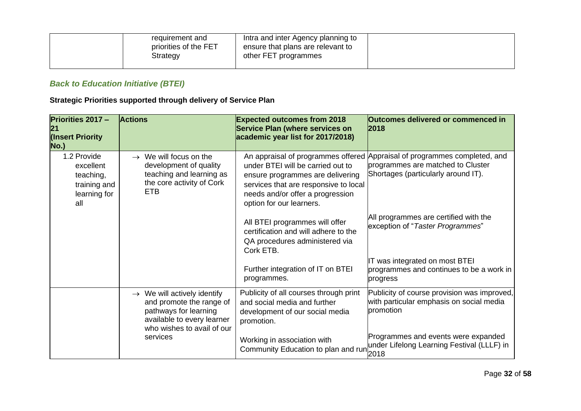| requirement and<br>priorities of the FET<br>Strategy | Intra and inter Agency planning to<br>ensure that plans are relevant to<br>other FET programmes |  |
|------------------------------------------------------|-------------------------------------------------------------------------------------------------|--|
|                                                      |                                                                                                 |  |

## *Back to Education Initiative (BTEI)*

<span id="page-31-0"></span>

| Priorities 2017 -<br>21<br>(Insert Priority<br>No.)                          | <b>Actions</b>                                                                                                                                           | <b>Expected outcomes from 2018</b><br><b>Service Plan (where services on</b><br>academic year list for 2017/2018)                                                              | Outcomes delivered or commenced in<br>2018                                                                                                            |
|------------------------------------------------------------------------------|----------------------------------------------------------------------------------------------------------------------------------------------------------|--------------------------------------------------------------------------------------------------------------------------------------------------------------------------------|-------------------------------------------------------------------------------------------------------------------------------------------------------|
| 1.2 Provide<br>excellent<br>teaching,<br>training and<br>learning for<br>all | $\rightarrow$ We will focus on the<br>development of quality<br>teaching and learning as<br>the core activity of Cork<br><b>ETB</b>                      | under BTEI will be carried out to<br>ensure programmes are delivering<br>services that are responsive to local<br>needs and/or offer a progression<br>option for our learners. | An appraisal of programmes offered Appraisal of programmes completed, and<br>programmes are matched to Cluster<br>Shortages (particularly around IT). |
|                                                                              |                                                                                                                                                          | All BTEI programmes will offer<br>certification and will adhere to the<br>QA procedures administered via<br>Cork ETB.                                                          | All programmes are certified with the<br>exception of "Taster Programmes"                                                                             |
|                                                                              |                                                                                                                                                          | Further integration of IT on BTEI<br>programmes.                                                                                                                               | IT was integrated on most BTEI<br>programmes and continues to be a work in<br>progress                                                                |
|                                                                              | $\rightarrow$ We will actively identify<br>and promote the range of<br>pathways for learning<br>available to every learner<br>who wishes to avail of our | Publicity of all courses through print<br>and social media and further<br>development of our social media<br>promotion.                                                        | Publicity of course provision was improved,<br>with particular emphasis on social media<br>promotion                                                  |
|                                                                              | services                                                                                                                                                 | Working in association with<br>Community Education to plan and run                                                                                                             | Programmes and events were expanded<br>under Lifelong Learning Festival (LLLF) in                                                                     |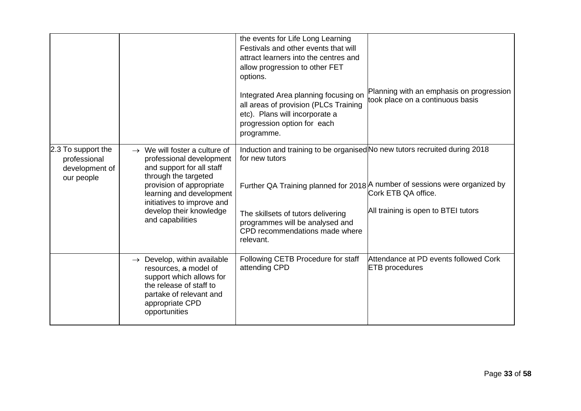|                                                                    |                                                                                                                                                                                                                                                                 | the events for Life Long Learning<br>Festivals and other events that will<br>attract learners into the centres and<br>allow progression to other FET<br>options.<br>Integrated Area planning focusing on<br>all areas of provision (PLCs Training<br>etc). Plans will incorporate a<br>progression option for each<br>programme. | Planning with an emphasis on progression<br>took place on a continuous basis                                                                |
|--------------------------------------------------------------------|-----------------------------------------------------------------------------------------------------------------------------------------------------------------------------------------------------------------------------------------------------------------|----------------------------------------------------------------------------------------------------------------------------------------------------------------------------------------------------------------------------------------------------------------------------------------------------------------------------------|---------------------------------------------------------------------------------------------------------------------------------------------|
| 2.3 To support the<br>professional<br>development of<br>our people | $\rightarrow$ We will foster a culture of<br>professional development<br>and support for all staff<br>through the targeted<br>provision of appropriate<br>learning and development<br>initiatives to improve and<br>develop their knowledge<br>and capabilities | Induction and training to be organised No new tutors recruited during 2018<br>for new tutors<br>The skillsets of tutors delivering<br>programmes will be analysed and<br>CPD recommendations made where<br>relevant.                                                                                                             | Further QA Training planned for 2018   A number of sessions were organized by<br>Cork ETB QA office.<br>All training is open to BTEI tutors |
|                                                                    | $\rightarrow$ Develop, within available<br>resources, a model of<br>support which allows for<br>the release of staff to<br>partake of relevant and<br>appropriate CPD<br>opportunities                                                                          | Following CETB Procedure for staff<br>attending CPD                                                                                                                                                                                                                                                                              | Attendance at PD events followed Cork<br><b>ETB</b> procedures                                                                              |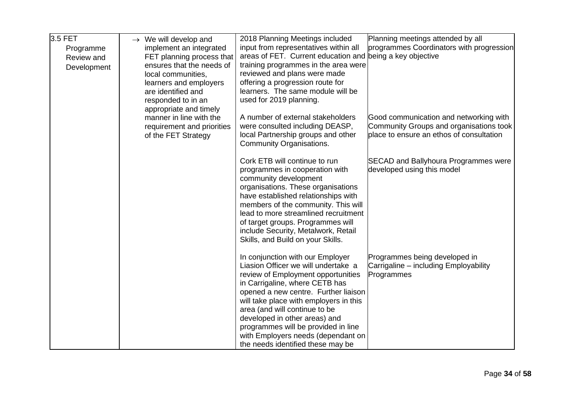| 3.5 FET<br>Programme<br>Review and<br>Development | $\rightarrow$ We will develop and<br>implement an integrated<br>FET planning process that<br>ensures that the needs of<br>local communities,<br>learners and employers<br>are identified and<br>responded to in an<br>appropriate and timely | 2018 Planning Meetings included<br>input from representatives within all<br>areas of FET. Current education and being a key objective<br>training programmes in the area were<br>reviewed and plans were made<br>offering a progression route for<br>learners. The same module will be<br>used for 2019 planning.                                                                                                     | Planning meetings attended by all<br>programmes Coordinators with progression                                                 |
|---------------------------------------------------|----------------------------------------------------------------------------------------------------------------------------------------------------------------------------------------------------------------------------------------------|-----------------------------------------------------------------------------------------------------------------------------------------------------------------------------------------------------------------------------------------------------------------------------------------------------------------------------------------------------------------------------------------------------------------------|-------------------------------------------------------------------------------------------------------------------------------|
|                                                   | manner in line with the<br>requirement and priorities<br>of the FET Strategy                                                                                                                                                                 | A number of external stakeholders<br>were consulted including DEASP,<br>local Partnership groups and other<br>Community Organisations.                                                                                                                                                                                                                                                                                | Good communication and networking with<br>Community Groups and organisations took<br>place to ensure an ethos of consultation |
|                                                   |                                                                                                                                                                                                                                              | Cork ETB will continue to run<br>programmes in cooperation with<br>community development<br>organisations. These organisations<br>have established relationships with<br>members of the community. This will<br>lead to more streamlined recruitment<br>of target groups. Programmes will<br>include Security, Metalwork, Retail<br>Skills, and Build on your Skills.                                                 | SECAD and Ballyhoura Programmes were<br>developed using this model                                                            |
|                                                   |                                                                                                                                                                                                                                              | In conjunction with our Employer<br>Liasion Officer we will undertake a<br>review of Employment opportunities<br>in Carrigaline, where CETB has<br>opened a new centre. Further liaison<br>will take place with employers in this<br>area (and will continue to be<br>developed in other areas) and<br>programmes will be provided in line<br>with Employers needs (dependant on<br>the needs identified these may be | Programmes being developed in<br>Carrigaline - including Employability<br>Programmes                                          |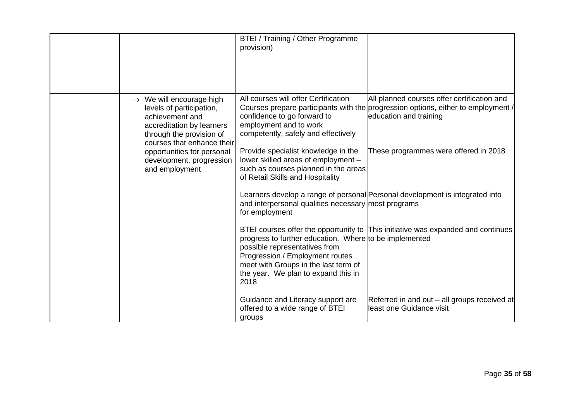|                                                                                                                                                                            | <b>BTEI</b> / Training / Other Programme<br>provision)                                                                                                                                                            |                                                                                                                                                            |
|----------------------------------------------------------------------------------------------------------------------------------------------------------------------------|-------------------------------------------------------------------------------------------------------------------------------------------------------------------------------------------------------------------|------------------------------------------------------------------------------------------------------------------------------------------------------------|
| $\rightarrow$ We will encourage high<br>levels of participation,<br>achievement and<br>accreditation by learners<br>through the provision of<br>courses that enhance their | All courses will offer Certification<br>confidence to go forward to<br>employment and to work<br>competently, safely and effectively                                                                              | All planned courses offer certification and<br>Courses prepare participants with the progression options, either to employment /<br>education and training |
| opportunities for personal<br>development, progression<br>and employment                                                                                                   | Provide specialist knowledge in the<br>lower skilled areas of employment -<br>such as courses planned in the areas<br>of Retail Skills and Hospitality                                                            | These programmes were offered in 2018                                                                                                                      |
|                                                                                                                                                                            | and interpersonal qualities necessary most programs<br>for employment                                                                                                                                             | Learners develop a range of personal Personal development is integrated into                                                                               |
|                                                                                                                                                                            | progress to further education. Where to be implemented<br>possible representatives from<br>Progression / Employment routes<br>meet with Groups in the last term of<br>the year. We plan to expand this in<br>2018 | BTEI courses offer the opportunity to This initiative was expanded and continues                                                                           |
|                                                                                                                                                                            | Guidance and Literacy support are<br>offered to a wide range of BTEI<br>groups                                                                                                                                    | Referred in and out – all groups received at<br>least one Guidance visit                                                                                   |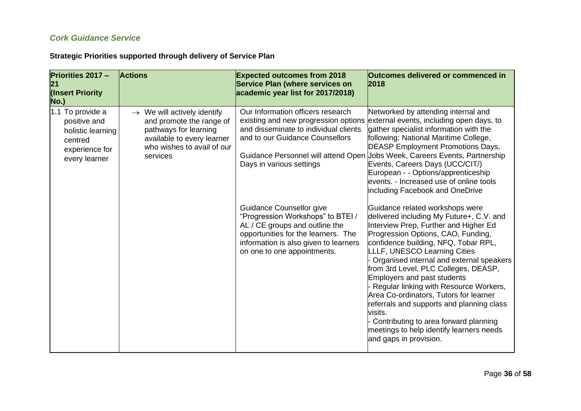### *Cork Guidance Service*

<span id="page-35-0"></span>

| Priorities 2017 -<br>21<br>(Insert Priority<br>No.)                                                 | <b>Actions</b>                                                                                                                                                       | <b>Expected outcomes from 2018</b><br>Service Plan (where services on<br>academic year list for 2017/2018)                                                                                                     | Outcomes delivered or commenced in<br>2018                                                                                                                                                                                                                                                                                                                                                                                                                                                                                                                                                                       |
|-----------------------------------------------------------------------------------------------------|----------------------------------------------------------------------------------------------------------------------------------------------------------------------|----------------------------------------------------------------------------------------------------------------------------------------------------------------------------------------------------------------|------------------------------------------------------------------------------------------------------------------------------------------------------------------------------------------------------------------------------------------------------------------------------------------------------------------------------------------------------------------------------------------------------------------------------------------------------------------------------------------------------------------------------------------------------------------------------------------------------------------|
| 1.1 To provide a<br>positive and<br>holistic learning<br>centred<br>experience for<br>every learner | $\rightarrow$ We will actively identify<br>and promote the range of<br>pathways for learning<br>available to every learner<br>who wishes to avail of our<br>services | Our Information officers research<br>and disseminate to individual clients<br>and to our Guidance Counsellors<br>Days in various settings                                                                      | Networked by attending internal and<br>existing and new progression options external events, including open days, to<br>gather specialist information with the<br>following: National Maritime College,<br><b>DEASP Employment Promotions Days,</b><br>Guidance Personnel will attend Open Jobs Week, Careers Events, Partnership<br>Events, Careers Days (UCC/CIT/)<br>European - - Options/apprenticeship<br>events. - Increased use of online tools<br>including Facebook and OneDrive                                                                                                                        |
|                                                                                                     |                                                                                                                                                                      | Guidance Counsellor give<br>"Progression Workshops" to BTEI /<br>AL / CE groups and outline the<br>opportunities for the learners. The<br>information is also given to learners<br>on one to one appointments. | Guidance related workshops were<br>delivered including My Future+, C.V. and<br>Interview Prep, Further and Higher Ed<br>Progression Options, CAO, Funding,<br>confidence building, NFQ, Tobar RPL,<br>LLLF, UNESCO Learning Cities<br>Organised internal and external speakers<br>from 3rd Level, PLC Colleges, DEASP,<br>Employers and past students<br>Regular linking with Resource Workers,<br>Area Co-ordinators, Tutors for learner<br>referrals and supports and planning class<br>visits.<br>Contributing to area forward planning<br>meetings to help identify learners needs<br>and gaps in provision. |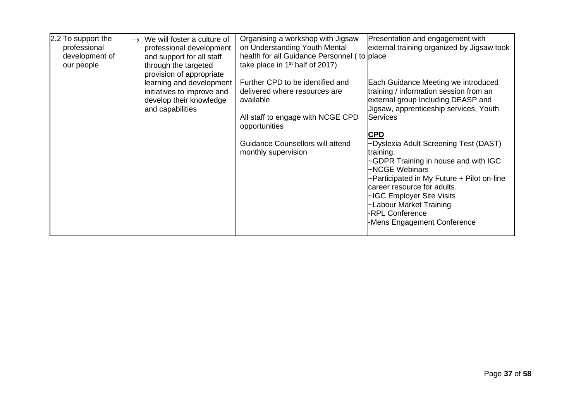| 2.2 To support the<br>professional<br>development of<br>our people | We will foster a culture of<br>$\rightarrow$<br>professional development<br>and support for all staff<br>through the targeted<br>provision of appropriate | Organising a workshop with Jigsaw<br>on Understanding Youth Mental<br>health for all Guidance Personnel (to place<br>take place in $1st$ half of 2017) | Presentation and engagement with<br>external training organized by Jigsaw took                                                                                                                                                                                                                                    |
|--------------------------------------------------------------------|-----------------------------------------------------------------------------------------------------------------------------------------------------------|--------------------------------------------------------------------------------------------------------------------------------------------------------|-------------------------------------------------------------------------------------------------------------------------------------------------------------------------------------------------------------------------------------------------------------------------------------------------------------------|
|                                                                    | learning and development<br>initiatives to improve and<br>develop their knowledge<br>and capabilities                                                     | Further CPD to be identified and<br>delivered where resources are<br>available                                                                         | Each Guidance Meeting we introduced<br>training / information session from an<br>external group Including DEASP and<br>Jigsaw, apprenticeship services, Youth                                                                                                                                                     |
|                                                                    |                                                                                                                                                           | All staff to engage with NCGE CPD<br>opportunities                                                                                                     | <b>Services</b>                                                                                                                                                                                                                                                                                                   |
|                                                                    |                                                                                                                                                           | <b>Guidance Counsellors will attend</b><br>monthly supervision                                                                                         | <b>CPD</b><br>~Dyslexia Adult Screening Test (DAST)<br>training.<br>~GDPR Training in house and with IGC<br>~NCGE Webinars<br>~Participated in My Future + Pilot on-line<br>career resource for adults.<br>~IGC Employer Site Visits<br>~Labour Market Training<br>-RPL Conference<br>-Mens Engagement Conference |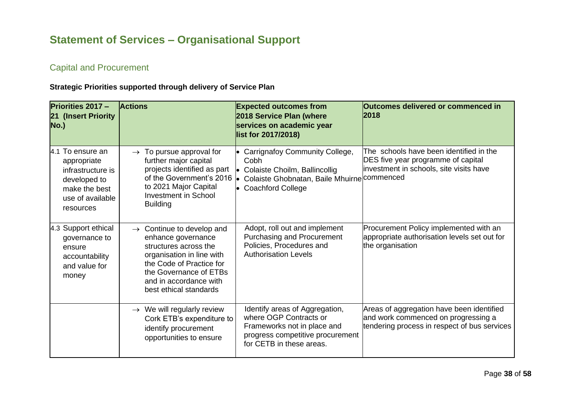# **Statement of Services – Organisational Support**

### Capital and Procurement

<span id="page-37-1"></span><span id="page-37-0"></span>

| <b>Priorities 2017 -</b><br>21 (Insert Priority<br>No.)                                                                | <b>Actions</b>                                                                                                                                                                                                              | <b>Expected outcomes from</b><br>2018 Service Plan (where<br>services on academic year<br>list for 2017/2018)                                                  | Outcomes delivered or commenced in<br>2018                                                                                       |
|------------------------------------------------------------------------------------------------------------------------|-----------------------------------------------------------------------------------------------------------------------------------------------------------------------------------------------------------------------------|----------------------------------------------------------------------------------------------------------------------------------------------------------------|----------------------------------------------------------------------------------------------------------------------------------|
| 4.1 To ensure an<br>appropriate<br>infrastructure is<br>developed to<br>make the best<br>use of available<br>resources | $\rightarrow$ To pursue approval for<br>further major capital<br>projects identified as part<br>of the Government's 2016<br>to 2021 Major Capital<br>Investment in School<br><b>Building</b>                                | • Carrignafoy Community College,<br>Cobh<br>• Colaiste Choilm, Ballincollig<br>Colaiste Ghobnatan, Baile Mhuirne commenced<br>$\bullet$<br>• Coachford College | The schools have been identified in the<br>DES five year programme of capital<br>investment in schools, site visits have         |
| 4.3 Support ethical<br>governance to<br>ensure<br>accountability<br>and value for<br>money                             | $\rightarrow$ Continue to develop and<br>enhance governance<br>structures across the<br>organisation in line with<br>the Code of Practice for<br>the Governance of ETBs<br>and in accordance with<br>best ethical standards | Adopt, roll out and implement<br><b>Purchasing and Procurement</b><br>Policies, Procedures and<br><b>Authorisation Levels</b>                                  | Procurement Policy implemented with an<br>appropriate authorisation levels set out for<br>the organisation                       |
|                                                                                                                        | $\rightarrow$ We will regularly review<br>Cork ETB's expenditure to<br>identify procurement<br>opportunities to ensure                                                                                                      | Identify areas of Aggregation,<br>where OGP Contracts or<br>Frameworks not in place and<br>progress competitive procurement<br>for CETB in these areas.        | Areas of aggregation have been identified<br>and work commenced on progressing a<br>tendering process in respect of bus services |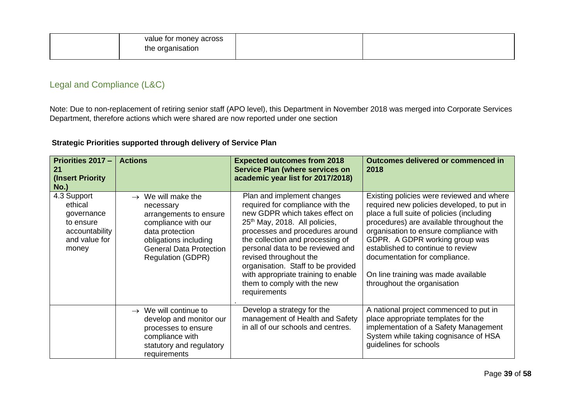| value for money across |  |
|------------------------|--|
| the organisation       |  |
|                        |  |

### Legal and Compliance (L&C)

Note: Due to non-replacement of retiring senior staff (APO level), this Department in November 2018 was merged into Corporate Services Department, therefore actions which were shared are now reported under one section

<span id="page-38-0"></span>

| Priorities 2017 -<br>21<br>(Insert Priority)<br><b>No.)</b>                                   | <b>Actions</b>                                                                                                                                                                                         | <b>Expected outcomes from 2018</b><br><b>Service Plan (where services on</b><br>academic year list for 2017/2018)                                                                                                                                                                                                                                                                                              | Outcomes delivered or commenced in<br>2018                                                                                                                                                                                                                                                                                                                                                               |
|-----------------------------------------------------------------------------------------------|--------------------------------------------------------------------------------------------------------------------------------------------------------------------------------------------------------|----------------------------------------------------------------------------------------------------------------------------------------------------------------------------------------------------------------------------------------------------------------------------------------------------------------------------------------------------------------------------------------------------------------|----------------------------------------------------------------------------------------------------------------------------------------------------------------------------------------------------------------------------------------------------------------------------------------------------------------------------------------------------------------------------------------------------------|
| 4.3 Support<br>ethical<br>governance<br>to ensure<br>accountability<br>and value for<br>money | $\rightarrow$ We will make the<br>necessary<br>arrangements to ensure<br>compliance with our<br>data protection<br>obligations including<br><b>General Data Protection</b><br><b>Regulation (GDPR)</b> | Plan and implement changes<br>required for compliance with the<br>new GDPR which takes effect on<br>25 <sup>th</sup> May, 2018. All policies,<br>processes and procedures around<br>the collection and processing of<br>personal data to be reviewed and<br>revised throughout the<br>organisation. Staff to be provided<br>with appropriate training to enable<br>them to comply with the new<br>requirements | Existing policies were reviewed and where<br>required new policies developed, to put in<br>place a full suite of policies (including<br>procedures) are available throughout the<br>organisation to ensure compliance with<br>GDPR. A GDPR working group was<br>established to continue to review<br>documentation for compliance.<br>On line training was made available<br>throughout the organisation |
|                                                                                               | $\rightarrow$ We will continue to<br>develop and monitor our<br>processes to ensure<br>compliance with<br>statutory and regulatory<br>requirements                                                     | Develop a strategy for the<br>management of Health and Safety<br>in all of our schools and centres.                                                                                                                                                                                                                                                                                                            | A national project commenced to put in<br>place appropriate templates for the<br>implementation of a Safety Management<br>System while taking cognisance of HSA<br>guidelines for schools                                                                                                                                                                                                                |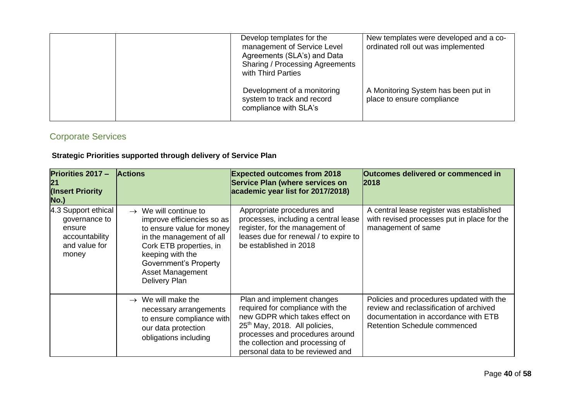|  | Develop templates for the<br>management of Service Level<br>Agreements (SLA's) and Data<br><b>Sharing / Processing Agreements</b><br>with Third Parties | New templates were developed and a co-<br>ordinated roll out was implemented |
|--|---------------------------------------------------------------------------------------------------------------------------------------------------------|------------------------------------------------------------------------------|
|  | Development of a monitoring<br>system to track and record<br>compliance with SLA's                                                                      | A Monitoring System has been put in<br>place to ensure compliance            |

## Corporate Services

<span id="page-39-0"></span>

| <b>Priorities 2017 -</b><br>21<br>(Insert Priority<br>No.)                                 | <b>Actions</b>                                                                                                                                                                                                                                      | <b>Expected outcomes from 2018</b><br>Service Plan (where services on<br>academic year list for 2017/2018)                                                                                                                                               | <b>Outcomes delivered or commenced in</b><br>2018                                                                                                                  |
|--------------------------------------------------------------------------------------------|-----------------------------------------------------------------------------------------------------------------------------------------------------------------------------------------------------------------------------------------------------|----------------------------------------------------------------------------------------------------------------------------------------------------------------------------------------------------------------------------------------------------------|--------------------------------------------------------------------------------------------------------------------------------------------------------------------|
| 4.3 Support ethical<br>governance to<br>ensure<br>accountability<br>and value for<br>money | $\rightarrow$ We will continue to<br>improve efficiencies so as<br>to ensure value for money<br>in the management of all<br>Cork ETB properties, in<br>keeping with the<br><b>Government's Property</b><br><b>Asset Management</b><br>Delivery Plan | Appropriate procedures and<br>processes, including a central lease<br>register, for the management of<br>leases due for renewal / to expire to<br>be established in 2018                                                                                 | A central lease register was established<br>with revised processes put in place for the<br>management of same                                                      |
|                                                                                            | $\rightarrow$ We will make the<br>necessary arrangements<br>to ensure compliance with<br>our data protection<br>obligations including                                                                                                               | Plan and implement changes<br>required for compliance with the<br>new GDPR which takes effect on<br>25 <sup>th</sup> May, 2018. All policies,<br>processes and procedures around<br>the collection and processing of<br>personal data to be reviewed and | Policies and procedures updated with the<br>review and reclassification of archived<br>documentation in accordance with ETB<br><b>Retention Schedule commenced</b> |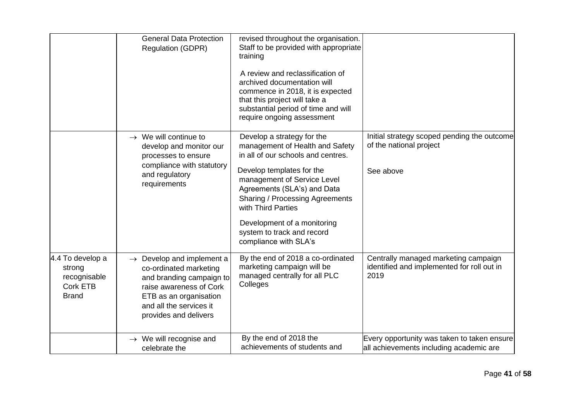|                                                                        | <b>General Data Protection</b><br><b>Regulation (GDPR)</b>                                                                                                                                           | revised throughout the organisation.<br>Staff to be provided with appropriate<br>training<br>A review and reclassification of<br>archived documentation will<br>commence in 2018, it is expected<br>that this project will take a<br>substantial period of time and will<br>require ongoing assessment                                               |                                                                                            |
|------------------------------------------------------------------------|------------------------------------------------------------------------------------------------------------------------------------------------------------------------------------------------------|------------------------------------------------------------------------------------------------------------------------------------------------------------------------------------------------------------------------------------------------------------------------------------------------------------------------------------------------------|--------------------------------------------------------------------------------------------|
|                                                                        | $\rightarrow$ We will continue to<br>develop and monitor our<br>processes to ensure<br>compliance with statutory<br>and regulatory<br>requirements                                                   | Develop a strategy for the<br>management of Health and Safety<br>in all of our schools and centres.<br>Develop templates for the<br>management of Service Level<br>Agreements (SLA's) and Data<br><b>Sharing / Processing Agreements</b><br>with Third Parties<br>Development of a monitoring<br>system to track and record<br>compliance with SLA's | Initial strategy scoped pending the outcome<br>of the national project<br>See above        |
| 4.4 To develop a<br>strong<br>recognisable<br>Cork ETB<br><b>Brand</b> | $\rightarrow$ Develop and implement a<br>co-ordinated marketing<br>and branding campaign to<br>raise awareness of Cork<br>ETB as an organisation<br>and all the services it<br>provides and delivers | By the end of 2018 a co-ordinated<br>marketing campaign will be<br>managed centrally for all PLC<br>Colleges                                                                                                                                                                                                                                         | Centrally managed marketing campaign<br>identified and implemented for roll out in<br>2019 |
|                                                                        | $\rightarrow$ We will recognise and<br>celebrate the                                                                                                                                                 | By the end of 2018 the<br>achievements of students and                                                                                                                                                                                                                                                                                               | Every opportunity was taken to taken ensure<br>all achievements including academic are     |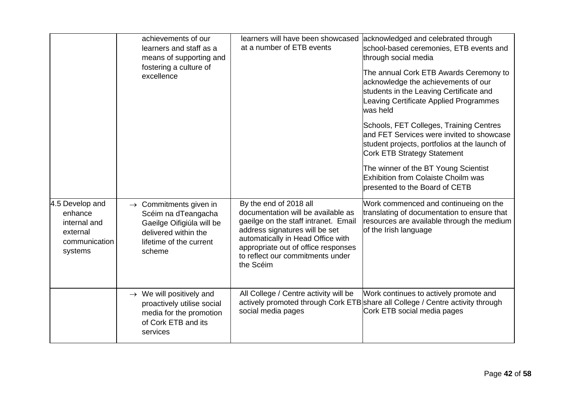|                                                                                    | achievements of our<br>learners and staff as a<br>means of supporting and<br>fostering a culture of<br>excellence                                   | learners will have been showcased<br>at a number of ETB events                                                                                                                                                                                                      | acknowledged and celebrated through<br>school-based ceremonies, ETB events and<br>through social media<br>The annual Cork ETB Awards Ceremony to<br>acknowledge the achievements of our<br>students in the Leaving Certificate and<br>Leaving Certificate Applied Programmes<br>was held |
|------------------------------------------------------------------------------------|-----------------------------------------------------------------------------------------------------------------------------------------------------|---------------------------------------------------------------------------------------------------------------------------------------------------------------------------------------------------------------------------------------------------------------------|------------------------------------------------------------------------------------------------------------------------------------------------------------------------------------------------------------------------------------------------------------------------------------------|
|                                                                                    |                                                                                                                                                     |                                                                                                                                                                                                                                                                     | Schools, FET Colleges, Training Centres<br>and FET Services were invited to showcase<br>student projects, portfolios at the launch of<br>Cork ETB Strategy Statement                                                                                                                     |
|                                                                                    |                                                                                                                                                     |                                                                                                                                                                                                                                                                     | The winner of the BT Young Scientist<br><b>Exhibition from Colaiste Choilm was</b><br>presented to the Board of CETB                                                                                                                                                                     |
| 4.5 Develop and<br>enhance<br>internal and<br>external<br>communication<br>systems | $\rightarrow$ Commitments given in<br>Scéim na dTeangacha<br>Gaeilge Oifigiúla will be<br>delivered within the<br>lifetime of the current<br>scheme | By the end of 2018 all<br>documentation will be available as<br>gaeilge on the staff intranet. Email<br>address signatures will be set<br>automatically in Head Office with<br>appropriate out of office responses<br>to reflect our commitments under<br>the Scéim | Work commenced and continueing on the<br>translating of documentation to ensure that<br>resources are available through the medium<br>of the Irish language                                                                                                                              |
|                                                                                    | $\rightarrow$ We will positively and<br>proactively utilise social<br>media for the promotion<br>of Cork ETB and its<br>services                    | All College / Centre activity will be<br>social media pages                                                                                                                                                                                                         | Work continues to actively promote and<br>actively promoted through Cork ETB share all College / Centre activity through<br>Cork ETB social media pages                                                                                                                                  |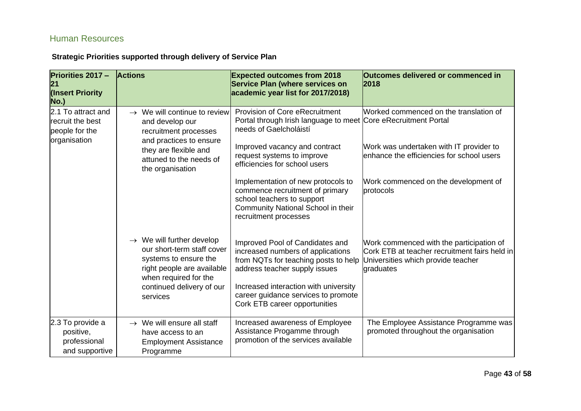### Human Resources

<span id="page-42-0"></span>

| <b>Priorities 2017 -</b><br>21<br>(Insert Priority<br>No.)               | <b>Actions</b>                                                                                                                                                                               | <b>Expected outcomes from 2018</b><br><b>Service Plan (where services on</b><br>academic year list for 2017/2018)                                                                                                                                              | Outcomes delivered or commenced in<br>2018                                                                                                   |
|--------------------------------------------------------------------------|----------------------------------------------------------------------------------------------------------------------------------------------------------------------------------------------|----------------------------------------------------------------------------------------------------------------------------------------------------------------------------------------------------------------------------------------------------------------|----------------------------------------------------------------------------------------------------------------------------------------------|
| 2.1 To attract and<br>recruit the best<br>people for the<br>organisation | $\rightarrow$ We will continue to review<br>and develop our<br>recruitment processes                                                                                                         | <b>Provision of Core eRecruitment</b><br>Portal through Irish language to meet Core eRecruitment Portal<br>needs of Gaelcholáistí                                                                                                                              | Worked commenced on the translation of                                                                                                       |
|                                                                          | and practices to ensure<br>they are flexible and<br>attuned to the needs of<br>the organisation                                                                                              | Improved vacancy and contract<br>request systems to improve<br>efficiencies for school users                                                                                                                                                                   | Work was undertaken with IT provider to<br>enhance the efficiencies for school users                                                         |
|                                                                          |                                                                                                                                                                                              | Implementation of new protocols to<br>commence recruitment of primary<br>school teachers to support<br>Community National School in their<br>recruitment processes                                                                                             | Work commenced on the development of<br>protocols                                                                                            |
|                                                                          | $\rightarrow$ We will further develop<br>our short-term staff cover<br>systems to ensure the<br>right people are available<br>when required for the<br>continued delivery of our<br>services | Improved Pool of Candidates and<br>increased numbers of applications<br>from NQTs for teaching posts to help<br>address teacher supply issues<br>Increased interaction with university<br>career guidance services to promote<br>Cork ETB career opportunities | Work commenced with the participation of<br>Cork ETB at teacher recruitment fairs held in<br>Universities which provide teacher<br>graduates |
| 2.3 To provide a<br>positive,<br>professional<br>and supportive          | $\rightarrow$ We will ensure all staff<br>have access to an<br><b>Employment Assistance</b><br>Programme                                                                                     | Increased awareness of Employee<br>Assistance Progamme through<br>promotion of the services available                                                                                                                                                          | The Employee Assistance Programme was<br>promoted throughout the organisation                                                                |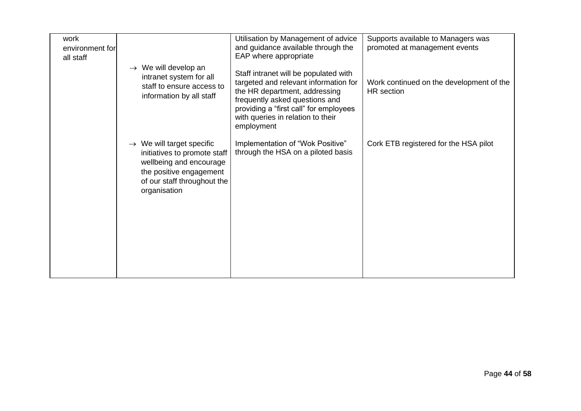| work<br>environment for<br>all staff |                                                                                                                                                                            | Utilisation by Management of advice<br>and guidance available through the<br>EAP where appropriate                                                                                                                                             | Supports available to Managers was<br>promoted at management events |
|--------------------------------------|----------------------------------------------------------------------------------------------------------------------------------------------------------------------------|------------------------------------------------------------------------------------------------------------------------------------------------------------------------------------------------------------------------------------------------|---------------------------------------------------------------------|
|                                      | $\rightarrow$ We will develop an<br>intranet system for all<br>staff to ensure access to<br>information by all staff                                                       | Staff intranet will be populated with<br>targeted and relevant information for<br>the HR department, addressing<br>frequently asked questions and<br>providing a "first call" for employees<br>with queries in relation to their<br>employment | Work continued on the development of the<br><b>HR</b> section       |
|                                      | $\rightarrow$ We will target specific<br>initiatives to promote staff<br>wellbeing and encourage<br>the positive engagement<br>of our staff throughout the<br>organisation | Implementation of "Wok Positive"<br>through the HSA on a piloted basis                                                                                                                                                                         | Cork ETB registered for the HSA pilot                               |
|                                      |                                                                                                                                                                            |                                                                                                                                                                                                                                                |                                                                     |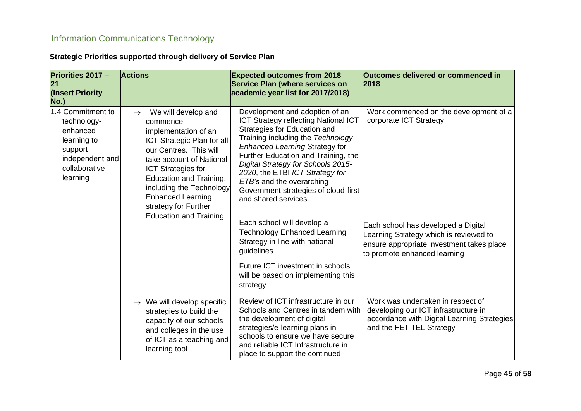## Information Communications Technology

<span id="page-44-0"></span>

| <b>Priorities 2017 -</b><br>21<br>(Insert Priority<br><b>No.)</b>                                                      | <b>Actions</b>                                                                                                                                                                                                                                                                                                                        | <b>Expected outcomes from 2018</b><br><b>Service Plan (where services on</b><br>academic year list for 2017/2018)                                                                                                                                                                                                                                                                                                                                                                                                                                                                                                   | Outcomes delivered or commenced in<br>2018                                                                                                                                                                                     |
|------------------------------------------------------------------------------------------------------------------------|---------------------------------------------------------------------------------------------------------------------------------------------------------------------------------------------------------------------------------------------------------------------------------------------------------------------------------------|---------------------------------------------------------------------------------------------------------------------------------------------------------------------------------------------------------------------------------------------------------------------------------------------------------------------------------------------------------------------------------------------------------------------------------------------------------------------------------------------------------------------------------------------------------------------------------------------------------------------|--------------------------------------------------------------------------------------------------------------------------------------------------------------------------------------------------------------------------------|
| 1.4 Commitment to<br>technology-<br>enhanced<br>learning to<br>support<br>independent and<br>collaborative<br>learning | We will develop and<br>$\rightarrow$<br>commence<br>implementation of an<br>ICT Strategic Plan for all<br>our Centres. This will<br>take account of National<br><b>ICT Strategies for</b><br>Education and Training,<br>including the Technology<br><b>Enhanced Learning</b><br>strategy for Further<br><b>Education and Training</b> | Development and adoption of an<br><b>ICT Strategy reflecting National ICT</b><br>Strategies for Education and<br>Training including the Technology<br><b>Enhanced Learning Strategy for</b><br>Further Education and Training, the<br>Digital Strategy for Schools 2015-<br>2020, the ETBI ICT Strategy for<br>ETB's and the overarching<br>Government strategies of cloud-first<br>and shared services.<br>Each school will develop a<br><b>Technology Enhanced Learning</b><br>Strategy in line with national<br>guidelines<br>Future ICT investment in schools<br>will be based on implementing this<br>strategy | Work commenced on the development of a<br>corporate ICT Strategy<br>Each school has developed a Digital<br>Learning Strategy which is reviewed to<br>ensure appropriate investment takes place<br>to promote enhanced learning |
|                                                                                                                        | $\rightarrow$ We will develop specific<br>strategies to build the<br>capacity of our schools<br>and colleges in the use<br>of ICT as a teaching and<br>learning tool                                                                                                                                                                  | Review of ICT infrastructure in our<br>Schools and Centres in tandem with<br>the development of digital<br>strategies/e-learning plans in<br>schools to ensure we have secure<br>and reliable ICT Infrastructure in<br>place to support the continued                                                                                                                                                                                                                                                                                                                                                               | Work was undertaken in respect of<br>developing our ICT infrastructure in<br>accordance with Digital Learning Strategies<br>and the FET TEL Strategy                                                                           |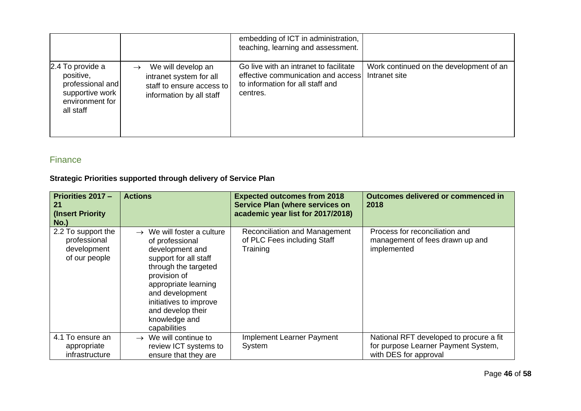|                                                                                                      |                                                                                                        | embedding of ICT in administration,<br>teaching, learning and assessment.                                                    |                                                          |
|------------------------------------------------------------------------------------------------------|--------------------------------------------------------------------------------------------------------|------------------------------------------------------------------------------------------------------------------------------|----------------------------------------------------------|
| 2.4 To provide a<br>positive,<br>professional and<br>supportive work<br>environment for<br>all staff | We will develop an<br>intranet system for all<br>staff to ensure access to<br>information by all staff | Go live with an intranet to facilitate<br>effective communication and access<br>to information for all staff and<br>centres. | Work continued on the development of an<br>Intranet site |

### Finance

<span id="page-45-0"></span>

| Priorities 2017 -<br>21<br>(Insert Priority)<br>$No.$ )            | <b>Actions</b>                                                                                                                                                                                                                                                           | <b>Expected outcomes from 2018</b><br><b>Service Plan (where services on</b><br>academic year list for 2017/2018) | Outcomes delivered or commenced in<br>2018                                                              |
|--------------------------------------------------------------------|--------------------------------------------------------------------------------------------------------------------------------------------------------------------------------------------------------------------------------------------------------------------------|-------------------------------------------------------------------------------------------------------------------|---------------------------------------------------------------------------------------------------------|
| 2.2 To support the<br>professional<br>development<br>of our people | $\rightarrow$ We will foster a culture<br>of professional<br>development and<br>support for all staff<br>through the targeted<br>provision of<br>appropriate learning<br>and development<br>initiatives to improve<br>and develop their<br>knowledge and<br>capabilities | Reconciliation and Management<br>of PLC Fees including Staff<br>Training                                          | Process for reconciliation and<br>management of fees drawn up and<br>implemented                        |
| 4.1 To ensure an<br>appropriate<br>infrastructure                  | $\rightarrow$ We will continue to<br>review ICT systems to<br>ensure that they are                                                                                                                                                                                       | Implement Learner Payment<br>System                                                                               | National RFT developed to procure a fit<br>for purpose Learner Payment System,<br>with DES for approval |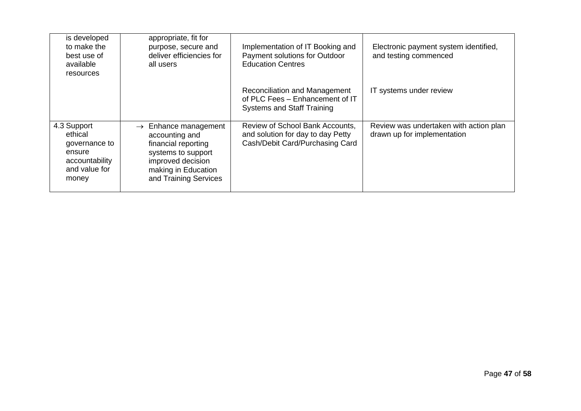| is developed<br>to make the<br>best use of<br>available<br>resources                          | appropriate, fit for<br>purpose, secure and<br>deliver efficiencies for<br>all users                                                                                    | Implementation of IT Booking and<br>Payment solutions for Outdoor<br><b>Education Centres</b>           | Electronic payment system identified,<br>and testing commenced        |
|-----------------------------------------------------------------------------------------------|-------------------------------------------------------------------------------------------------------------------------------------------------------------------------|---------------------------------------------------------------------------------------------------------|-----------------------------------------------------------------------|
|                                                                                               |                                                                                                                                                                         | Reconciliation and Management<br>of PLC Fees - Enhancement of IT<br><b>Systems and Staff Training</b>   | IT systems under review                                               |
| 4.3 Support<br>ethical<br>governance to<br>ensure<br>accountability<br>and value for<br>money | Enhance management<br>$\rightarrow$<br>accounting and<br>financial reporting<br>systems to support<br>improved decision<br>making in Education<br>and Training Services | Review of School Bank Accounts,<br>and solution for day to day Petty<br>Cash/Debit Card/Purchasing Card | Review was undertaken with action plan<br>drawn up for implementation |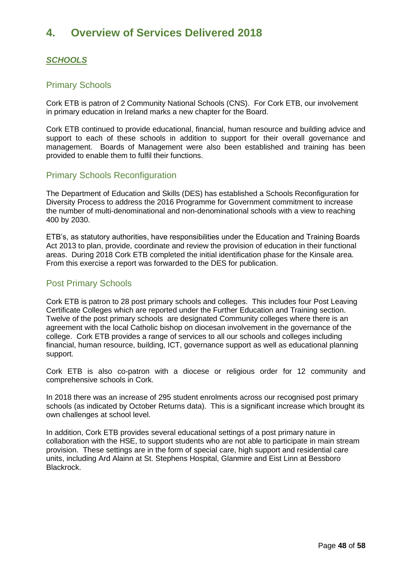## <span id="page-47-0"></span>**4. Overview of Services Delivered 2018**

### <span id="page-47-1"></span>*SCHOOLS*

#### <span id="page-47-2"></span>Primary Schools

Cork ETB is patron of 2 Community National Schools (CNS). For Cork ETB, our involvement in primary education in Ireland marks a new chapter for the Board.

Cork ETB continued to provide educational, financial, human resource and building advice and support to each of these schools in addition to support for their overall governance and management. Boards of Management were also been established and training has been provided to enable them to fulfil their functions.

### <span id="page-47-3"></span>Primary Schools Reconfiguration

The Department of Education and Skills (DES) has established a Schools Reconfiguration for Diversity Process to address the 2016 Programme for Government commitment to increase the number of multi-denominational and non-denominational schools with a view to reaching 400 by 2030.

ETB's, as statutory authorities, have responsibilities under the Education and Training Boards Act 2013 to plan, provide, coordinate and review the provision of education in their functional areas. During 2018 Cork ETB completed the initial identification phase for the Kinsale area. From this exercise a report was forwarded to the DES for publication.

### <span id="page-47-4"></span>Post Primary Schools

Cork ETB is patron to 28 post primary schools and colleges. This includes four Post Leaving Certificate Colleges which are reported under the Further Education and Training section. Twelve of the post primary schools are designated Community colleges where there is an agreement with the local Catholic bishop on diocesan involvement in the governance of the college. Cork ETB provides a range of services to all our schools and colleges including financial, human resource, building, ICT, governance support as well as educational planning support.

Cork ETB is also co-patron with a diocese or religious order for 12 community and comprehensive schools in Cork.

In 2018 there was an increase of 295 student enrolments across our recognised post primary schools (as indicated by October Returns data). This is a significant increase which brought its own challenges at school level.

In addition, Cork ETB provides several educational settings of a post primary nature in collaboration with the HSE, to support students who are not able to participate in main stream provision. These settings are in the form of special care, high support and residential care units, including Ard Alainn at St. Stephens Hospital, Glanmire and Eist Linn at Bessboro Blackrock.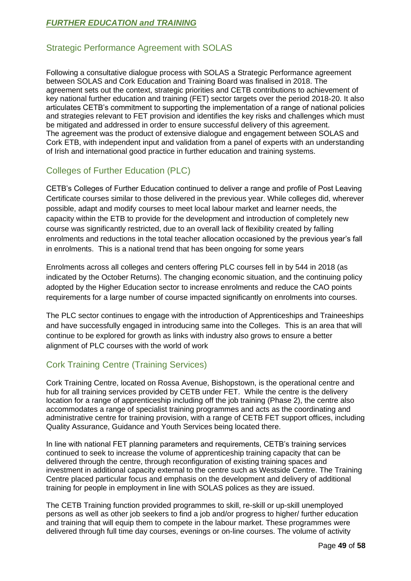### <span id="page-48-0"></span>*FURTHER EDUCATION and TRAINING*

### Strategic Performance Agreement with SOLAS

Following a consultative dialogue process with SOLAS a Strategic Performance agreement between SOLAS and Cork Education and Training Board was finalised in 2018. The agreement sets out the context, strategic priorities and CETB contributions to achievement of key national further education and training (FET) sector targets over the period 2018-20. It also articulates CETB's commitment to supporting the implementation of a range of national policies and strategies relevant to FET provision and identifies the key risks and challenges which must be mitigated and addressed in order to ensure successful delivery of this agreement. The agreement was the product of extensive dialogue and engagement between SOLAS and Cork ETB, with independent input and validation from a panel of experts with an understanding of Irish and international good practice in further education and training systems.

### <span id="page-48-1"></span>Colleges of Further Education (PLC)

CETB's Colleges of Further Education continued to deliver a range and profile of Post Leaving Certificate courses similar to those delivered in the previous year. While colleges did, wherever possible, adapt and modify courses to meet local labour market and learner needs, the capacity within the ETB to provide for the development and introduction of completely new course was significantly restricted, due to an overall lack of flexibility created by falling enrolments and reductions in the total teacher allocation occasioned by the previous year's fall in enrolments. This is a national trend that has been ongoing for some years

Enrolments across all colleges and centers offering PLC courses fell in by 544 in 2018 (as indicated by the October Returns). The changing economic situation, and the continuing policy adopted by the Higher Education sector to increase enrolments and reduce the CAO points requirements for a large number of course impacted significantly on enrolments into courses.

The PLC sector continues to engage with the introduction of Apprenticeships and Traineeships and have successfully engaged in introducing same into the Colleges. This is an area that will continue to be explored for growth as links with industry also grows to ensure a better alignment of PLC courses with the world of work

### <span id="page-48-2"></span>Cork Training Centre (Training Services)

Cork Training Centre, located on Rossa Avenue, Bishopstown, is the operational centre and hub for all training services provided by CETB under FET. While the centre is the delivery location for a range of apprenticeship including off the job training (Phase 2), the centre also accommodates a range of specialist training programmes and acts as the coordinating and administrative centre for training provision, with a range of CETB FET support offices, including Quality Assurance, Guidance and Youth Services being located there.

In line with national FET planning parameters and requirements, CETB's training services continued to seek to increase the volume of apprenticeship training capacity that can be delivered through the centre, through reconfiguration of existing training spaces and investment in additional capacity external to the centre such as Westside Centre. The Training Centre placed particular focus and emphasis on the development and delivery of additional training for people in employment in line with SOLAS polices as they are issued.

The CETB Training function provided programmes to skill, re-skill or up-skill unemployed persons as well as other job seekers to find a job and/or progress to higher/ further education and training that will equip them to compete in the labour market. These programmes were delivered through full time day courses, evenings or on-line courses. The volume of activity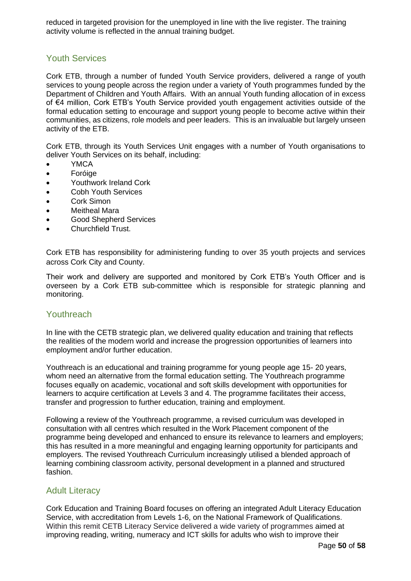reduced in targeted provision for the unemployed in line with the live register. The training activity volume is reflected in the annual training budget.

#### <span id="page-49-0"></span>Youth Services

Cork ETB, through a number of funded Youth Service providers, delivered a range of youth services to young people across the region under a variety of Youth programmes funded by the Department of Children and Youth Affairs. With an annual Youth funding allocation of in excess of €4 million, Cork ETB's Youth Service provided youth engagement activities outside of the formal education setting to encourage and support young people to become active within their communities, as citizens, role models and peer leaders. This is an invaluable but largely unseen activity of the ETB.

Cork ETB, through its Youth Services Unit engages with a number of Youth organisations to deliver Youth Services on its behalf, including:

- YMCA
- Foróige
- Youthwork Ireland Cork
- Cobh Youth Services
- Cork Simon
- **Meitheal Mara**
- Good Shepherd Services
- Churchfield Trust.

Cork ETB has responsibility for administering funding to over 35 youth projects and services across Cork City and County.

Their work and delivery are supported and monitored by Cork ETB's Youth Officer and is overseen by a Cork ETB sub-committee which is responsible for strategic planning and monitoring.

#### <span id="page-49-1"></span>Youthreach

In line with the CETB strategic plan, we delivered quality education and training that reflects the realities of the modern world and increase the progression opportunities of learners into employment and/or further education.

Youthreach is an educational and training programme for young people age 15- 20 years, whom need an alternative from the formal education setting. The Youthreach programme focuses equally on academic, vocational and soft skills development with opportunities for learners to acquire certification at Levels 3 and 4. The programme facilitates their access, transfer and progression to further education, training and employment.

Following a review of the Youthreach programme, a revised curriculum was developed in consultation with all centres which resulted in the Work Placement component of the programme being developed and enhanced to ensure its relevance to learners and employers; this has resulted in a more meaningful and engaging learning opportunity for participants and employers. The revised Youthreach Curriculum increasingly utilised a blended approach of learning combining classroom activity, personal development in a planned and structured fashion.

#### <span id="page-49-2"></span>Adult Literacy

Cork Education and Training Board focuses on offering an integrated Adult Literacy Education Service, with accreditation from Levels 1-6, on the National Framework of Qualifications. Within this remit CETB Literacy Service delivered a wide variety of programmes aimed at improving reading, writing, numeracy and ICT skills for adults who wish to improve their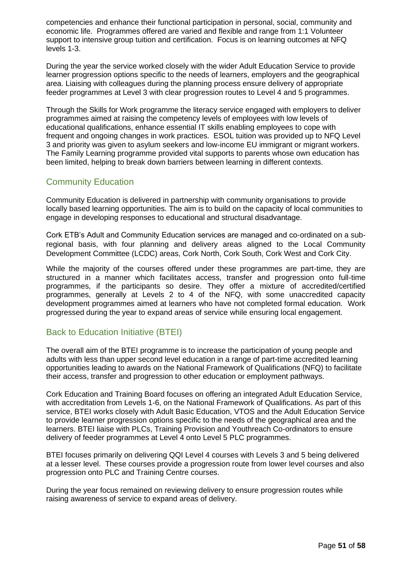competencies and enhance their functional participation in personal, social, community and economic life. Programmes offered are varied and flexible and range from 1:1 Volunteer support to intensive group tuition and certification. Focus is on learning outcomes at NFQ levels 1-3.

During the year the service worked closely with the wider Adult Education Service to provide learner progression options specific to the needs of learners, employers and the geographical area. Liaising with colleagues during the planning process ensure delivery of appropriate feeder programmes at Level 3 with clear progression routes to Level 4 and 5 programmes.

Through the Skills for Work programme the literacy service engaged with employers to deliver programmes aimed at raising the competency levels of employees with low levels of educational qualifications, enhance essential IT skills enabling employees to cope with frequent and ongoing changes in work practices. ESOL tuition was provided up to NFQ Level 3 and priority was given to asylum seekers and low-income EU immigrant or migrant workers. The Family Learning programme provided vital supports to parents whose own education has been limited, helping to break down barriers between learning in different contexts.

### <span id="page-50-0"></span>Community Education

Community Education is delivered in partnership with community organisations to provide locally based learning opportunities. The aim is to build on the capacity of local communities to engage in developing responses to educational and structural disadvantage.

Cork ETB's Adult and Community Education services are managed and co-ordinated on a subregional basis, with four planning and delivery areas aligned to the Local Community Development Committee (LCDC) areas, Cork North, Cork South, Cork West and Cork City.

While the majority of the courses offered under these programmes are part-time, they are structured in a manner which facilitates access, transfer and progression onto full-time programmes, if the participants so desire. They offer a mixture of accredited/certified programmes, generally at Levels 2 to 4 of the NFQ, with some unaccredited capacity development programmes aimed at learners who have not completed formal education. Work progressed during the year to expand areas of service while ensuring local engagement.

### <span id="page-50-1"></span>Back to Education Initiative (BTEI)

The overall aim of the BTEI programme is to increase the participation of young people and adults with less than upper second level education in a range of part-time accredited learning opportunities leading to awards on the National Framework of Qualifications (NFQ) to facilitate their access, transfer and progression to other education or employment pathways.

Cork Education and Training Board focuses on offering an integrated Adult Education Service, with accreditation from Levels 1-6, on the National Framework of Qualifications. As part of this service, BTEI works closely with Adult Basic Education, VTOS and the Adult Education Service to provide learner progression options specific to the needs of the geographical area and the learners. BTEI liaise with PLCs, Training Provision and Youthreach Co-ordinators to ensure delivery of feeder programmes at Level 4 onto Level 5 PLC programmes.

BTEI focuses primarily on delivering QQI Level 4 courses with Levels 3 and 5 being delivered at a lesser level. These courses provide a progression route from lower level courses and also progression onto PLC and Training Centre courses.

During the year focus remained on reviewing delivery to ensure progression routes while raising awareness of service to expand areas of delivery.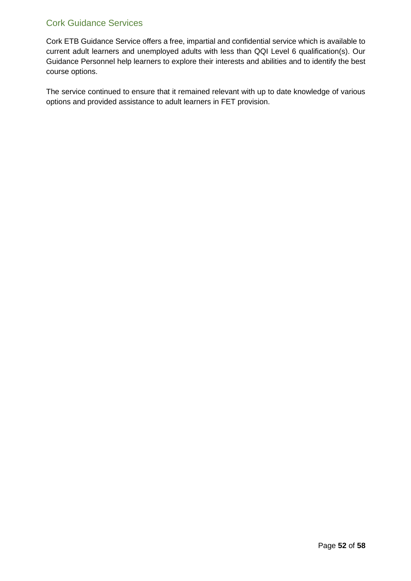### <span id="page-51-0"></span>Cork Guidance Services

Cork ETB Guidance Service offers a free, impartial and confidential service which is available to current adult learners and unemployed adults with less than QQI Level 6 qualification(s). Our Guidance Personnel help learners to explore their interests and abilities and to identify the best course options.

The service continued to ensure that it remained relevant with up to date knowledge of various options and provided assistance to adult learners in FET provision.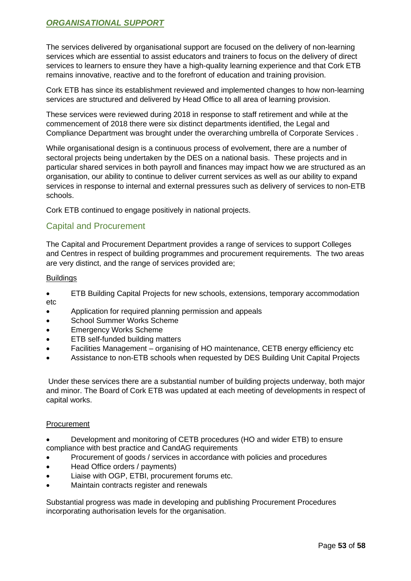### <span id="page-52-0"></span>*ORGANISATIONAL SUPPORT*

The services delivered by organisational support are focused on the delivery of non-learning services which are essential to assist educators and trainers to focus on the delivery of direct services to learners to ensure they have a high-quality learning experience and that Cork ETB remains innovative, reactive and to the forefront of education and training provision.

Cork ETB has since its establishment reviewed and implemented changes to how non-learning services are structured and delivered by Head Office to all area of learning provision.

These services were reviewed during 2018 in response to staff retirement and while at the commencement of 2018 there were six distinct departments identified, the Legal and Compliance Department was brought under the overarching umbrella of Corporate Services .

While organisational design is a continuous process of evolvement, there are a number of sectoral projects being undertaken by the DES on a national basis. These projects and in particular shared services in both payroll and finances may impact how we are structured as an organisation, our ability to continue to deliver current services as well as our ability to expand services in response to internal and external pressures such as delivery of services to non-ETB schools.

Cork ETB continued to engage positively in national projects.

### <span id="page-52-1"></span>Capital and Procurement

The Capital and Procurement Department provides a range of services to support Colleges and Centres in respect of building programmes and procurement requirements. The two areas are very distinct, and the range of services provided are;

#### **Buildings**

- ETB Building Capital Projects for new schools, extensions, temporary accommodation etc
- Application for required planning permission and appeals
- School Summer Works Scheme
- **Emergency Works Scheme**
- ETB self-funded building matters
- Facilities Management organising of HO maintenance, CETB energy efficiency etc
- Assistance to non-ETB schools when requested by DES Building Unit Capital Projects

Under these services there are a substantial number of building projects underway, both major and minor. The Board of Cork ETB was updated at each meeting of developments in respect of capital works.

#### Procurement

- Development and monitoring of CETB procedures (HO and wider ETB) to ensure compliance with best practice and CandAG requirements
- Procurement of goods / services in accordance with policies and procedures
- Head Office orders / payments)
- Liaise with OGP, ETBI, procurement forums etc.
- Maintain contracts register and renewals

Substantial progress was made in developing and publishing Procurement Procedures incorporating authorisation levels for the organisation.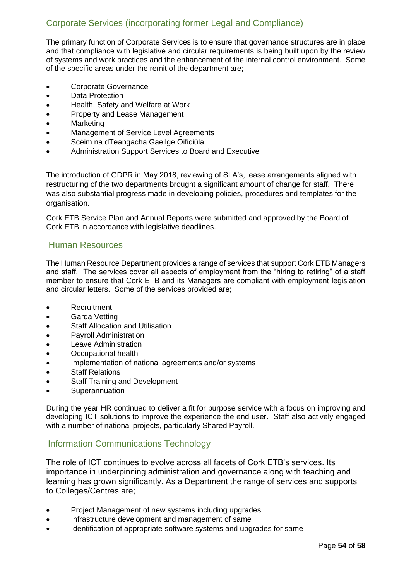### <span id="page-53-0"></span>Corporate Services (incorporating former Legal and Compliance)

The primary function of Corporate Services is to ensure that governance structures are in place and that compliance with legislative and circular requirements is being built upon by the review of systems and work practices and the enhancement of the internal control environment. Some of the specific areas under the remit of the department are;

- Corporate Governance
- Data Protection
- Health, Safety and Welfare at Work
- Property and Lease Management
- Marketing
- Management of Service Level Agreements
- Scéim na dTeangacha Gaeilge Oificiúla
- Administration Support Services to Board and Executive

The introduction of GDPR in May 2018, reviewing of SLA's, lease arrangements aligned with restructuring of the two departments brought a significant amount of change for staff. There was also substantial progress made in developing policies, procedures and templates for the organisation.

Cork ETB Service Plan and Annual Reports were submitted and approved by the Board of Cork ETB in accordance with legislative deadlines.

### <span id="page-53-1"></span>Human Resources

The Human Resource Department provides a range of services that support Cork ETB Managers and staff. The services cover all aspects of employment from the "hiring to retiring" of a staff member to ensure that Cork ETB and its Managers are compliant with employment legislation and circular letters. Some of the services provided are;

- Recruitment
- Garda Vetting
- **Staff Allocation and Utilisation**
- Payroll Administration
- Leave Administration
- Occupational health
- Implementation of national agreements and/or systems
- **Staff Relations**
- **Staff Training and Development**
- **Superannuation**

During the year HR continued to deliver a fit for purpose service with a focus on improving and developing ICT solutions to improve the experience the end user. Staff also actively engaged with a number of national projects, particularly Shared Payroll.

### <span id="page-53-2"></span>Information Communications Technology

The role of ICT continues to evolve across all facets of Cork ETB's services. Its importance in underpinning administration and governance along with teaching and learning has grown significantly. As a Department the range of services and supports to Colleges/Centres are;

- Project Management of new systems including upgrades
- Infrastructure development and management of same
- Identification of appropriate software systems and upgrades for same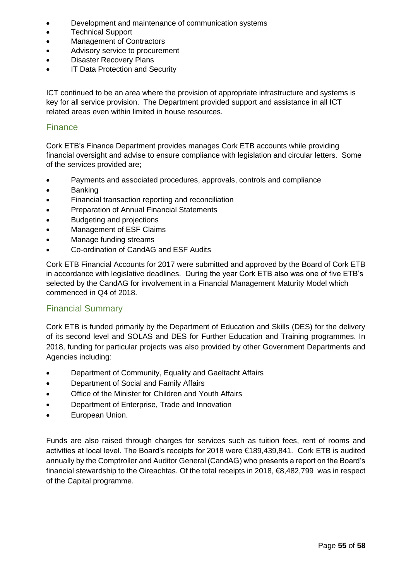- Development and maintenance of communication systems
- Technical Support
- Management of Contractors
- Advisory service to procurement
- Disaster Recovery Plans
- IT Data Protection and Security

ICT continued to be an area where the provision of appropriate infrastructure and systems is key for all service provision. The Department provided support and assistance in all ICT related areas even within limited in house resources.

#### <span id="page-54-0"></span>**Finance**

Cork ETB's Finance Department provides manages Cork ETB accounts while providing financial oversight and advise to ensure compliance with legislation and circular letters. Some of the services provided are;

- Payments and associated procedures, approvals, controls and compliance
- Banking
- Financial transaction reporting and reconciliation
- Preparation of Annual Financial Statements
- Budgeting and projections
- Management of ESF Claims
- Manage funding streams
- Co-ordination of CandAG and ESF Audits

Cork ETB Financial Accounts for 2017 were submitted and approved by the Board of Cork ETB in accordance with legislative deadlines. During the year Cork ETB also was one of five ETB's selected by the CandAG for involvement in a Financial Management Maturity Model which commenced in Q4 of 2018.

#### Financial Summary

Cork ETB is funded primarily by the Department of Education and Skills (DES) for the delivery of its second level and SOLAS and DES for Further Education and Training programmes. In 2018, funding for particular projects was also provided by other Government Departments and Agencies including:

- Department of Community, Equality and Gaeltacht Affairs
- Department of Social and Family Affairs
- Office of the Minister for Children and Youth Affairs
- Department of Enterprise, Trade and Innovation
- European Union.

Funds are also raised through charges for services such as tuition fees, rent of rooms and activities at local level. The Board's receipts for 2018 were €189,439,841. Cork ETB is audited annually by the Comptroller and Auditor General (CandAG) who presents a report on the Board's financial stewardship to the Oireachtas. Of the total receipts in 2018, €8,482,799 was in respect of the Capital programme.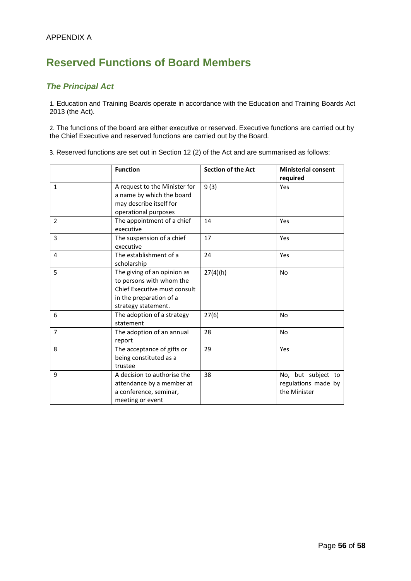## **Reserved Functions of Board Members**

### *The Principal Act*

1. Education and Training Boards operate in accordance with the Education and Training Boards Act 2013 (the Act).

2. The functions of the board are either executive or reserved. Executive functions are carried out by the Chief Executive and reserved functions are carried out by the Board.

3. Reserved functions are set out in Section 12 (2) of the Act and are summarised as follows:

|                | <b>Function</b>                                                                                                                           | <b>Section of the Act</b> | <b>Ministerial consent</b><br>required                    |
|----------------|-------------------------------------------------------------------------------------------------------------------------------------------|---------------------------|-----------------------------------------------------------|
| $\mathbf{1}$   | A request to the Minister for<br>a name by which the board<br>may describe itself for<br>operational purposes                             | 9(3)                      | Yes                                                       |
| $\overline{2}$ | The appointment of a chief<br>executive                                                                                                   | 14                        | Yes                                                       |
| $\overline{3}$ | The suspension of a chief<br>executive                                                                                                    | 17                        | Yes                                                       |
| 4              | The establishment of a<br>scholarship                                                                                                     | 24                        | Yes                                                       |
| 5              | The giving of an opinion as<br>to persons with whom the<br>Chief Executive must consult<br>in the preparation of a<br>strategy statement. | 27(4)(h)                  | No                                                        |
| 6              | The adoption of a strategy<br>statement                                                                                                   | 27(6)                     | <b>No</b>                                                 |
| $\overline{7}$ | The adoption of an annual<br>report                                                                                                       | 28                        | <b>No</b>                                                 |
| 8              | The acceptance of gifts or<br>being constituted as a<br>trustee                                                                           | 29                        | Yes                                                       |
| 9              | A decision to authorise the<br>attendance by a member at<br>a conference, seminar,<br>meeting or event                                    | 38                        | No, but subject to<br>regulations made by<br>the Minister |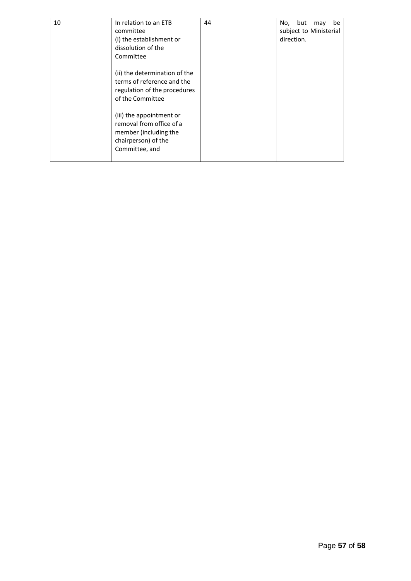| 10 | In relation to an ETB<br>committee<br>(i) the establishment or                                                         | 44 | but<br>be<br>No,<br>may<br>subject to Ministerial<br>direction. |
|----|------------------------------------------------------------------------------------------------------------------------|----|-----------------------------------------------------------------|
|    | dissolution of the<br>Committee                                                                                        |    |                                                                 |
|    | (ii) the determination of the<br>terms of reference and the<br>regulation of the procedures<br>of the Committee        |    |                                                                 |
|    | (iii) the appointment or<br>removal from office of a<br>member (including the<br>chairperson) of the<br>Committee, and |    |                                                                 |